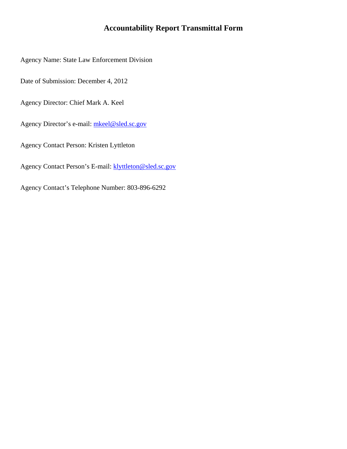### **Accountability Report Transmittal Form**

Agency Name: State Law Enforcement Division

Date of Submission: December 4, 2012

Agency Director: Chief Mark A. Keel

Agency Director's e-mail: [mkeel@sled.sc.gov](mailto:mkeel@sled.sc.gov)

Agency Contact Person: Kristen Lyttleton

Agency Contact Person's E-mail: **klyttleton@sled.sc.gov** 

Agency Contact's Telephone Number: 803-896-6292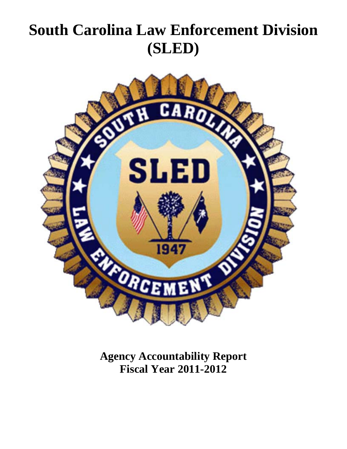# **South Carolina Law Enforcement Division (SLED)**



**Agency Accountability Report Fiscal Year 2011-2012**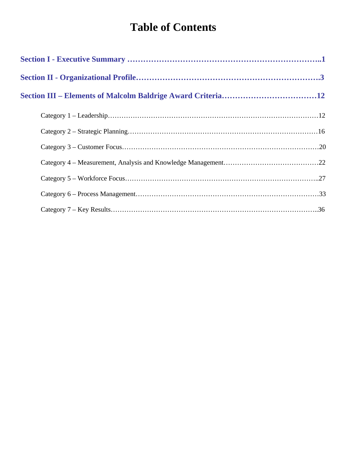## **Table of Contents**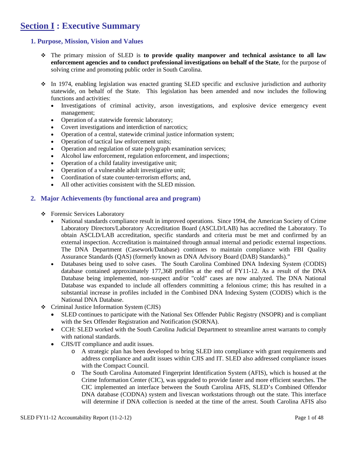## **Section I : Executive Summary**

#### **1. Purpose, Mission, Vision and Values**

- The primary mission of SLED is **to provide quality manpower and technical assistance to all law enforcement agencies and to conduct professional investigations on behalf of the State**, for the purpose of solving crime and promoting public order in South Carolina.
- In 1974, enabling legislation was enacted granting SLED specific and exclusive jurisdiction and authority statewide, on behalf of the State. This legislation has been amended and now includes the following functions and activities:
	- Investigations of criminal activity, arson investigations, and explosive device emergency event management;
	- Operation of a statewide forensic laboratory;
	- Covert investigations and interdiction of narcotics;
	- Operation of a central, statewide criminal justice information system;
	- Operation of tactical law enforcement units;
	- Operation and regulation of state polygraph examination services;
	- Alcohol law enforcement, regulation enforcement, and inspections;
	- Operation of a child fatality investigative unit;
	- Operation of a vulnerable adult investigative unit;
	- Coordination of state counter-terrorism efforts; and,
	- All other activities consistent with the SLED mission.

#### **2. Major Achievements (by functional area and program)**

- Forensic Services Laboratory
	- National standards compliance result in improved operations. Since 1994, the American Society of Crime Laboratory Directors/Laboratory Accreditation Board (ASCLD/LAB) has accredited the Laboratory. To obtain ASCLD/LAB accreditation, specific standards and criteria must be met and confirmed by an external inspection. Accreditation is maintained through annual internal and periodic external inspections. The DNA Department (Casework/Database) continues to maintain compliance with FBI Quality Assurance Standards (QAS) (formerly known as DNA Advisory Board (DAB) Standards)."
	- Databases being used to solve cases. The South Carolina Combined DNA Indexing System (CODIS) database contained approximately 177,368 profiles at the end of FY11-12. As a result of the DNA Database being implemented, non-suspect and/or "cold" cases are now analyzed. The DNA National Database was expanded to include all offenders committing a felonious crime; this has resulted in a substantial increase in profiles included in the Combined DNA Indexing System (CODIS) which is the National DNA Database.
- Criminal Justice Information System (CJIS)
	- SLED continues to participate with the National Sex Offender Public Registry (NSOPR) and is compliant with the Sex Offender Registration and Notification (SORNA).
	- CCH: SLED worked with the South Carolina Judicial Department to streamline arrest warrants to comply with national standards.
	- CJIS/IT compliance and audit issues.
		- o A strategic plan has been developed to bring SLED into compliance with grant requirements and address compliance and audit issues within CJIS and IT. SLED also addressed compliance issues with the Compact Council.
		- o The South Carolina Automated Fingerprint Identification System (AFIS), which is housed at the Crime Information Center (CIC), was upgraded to provide faster and more efficient searches. The CIC implemented an interface between the South Carolina AFIS, SLED's Combined Offendor DNA database (CODNA) system and livescan workstations through out the state. This interface will determine if DNA collection is needed at the time of the arrest. South Carolina AFIS also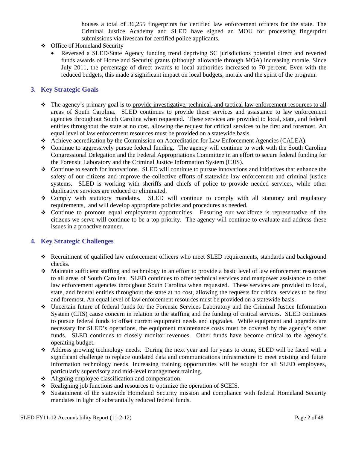houses a total of 36,255 fingerprints for certified law enforcement officers for the state. The Criminal Justice Academy and SLED have signed an MOU for processing fingerprint submissions via livescan for certified police applicants.

- Office of Homeland Security
	- Reversed a SLED/State Agency funding trend depriving SC jurisdictions potential direct and reverted funds awards of Homeland Security grants (although allowable through MOA) increasing morale. Since July 2011, the percentage of direct awards to local authorities increased to 70 percent. Even with the reduced budgets, this made a significant impact on local budgets, morale and the spirit of the program.

#### **3. Key Strategic Goals**

- The agency's primary goal is to provide investigative, technical, and tactical law enforcement resources to all areas of South Carolina. SLED continues to provide these services and assistance to law enforcement agencies throughout South Carolina when requested. These services are provided to local, state, and federal entities throughout the state at no cost, allowing the request for critical services to be first and foremost. An equal level of law enforcement resources must be provided on a statewide basis.
- Achieve accreditation by the Commission on Accreditation for Law Enforcement Agencies (CALEA).
- Continue to aggressively pursue federal funding. The agency will continue to work with the South Carolina Congressional Delegation and the Federal Appropriations Committee in an effort to secure federal funding for the Forensic Laboratory and the Criminal Justice Information System (CJIS).
- Continue to search for innovations. SLED will continue to pursue innovations and initiatives that enhance the safety of our citizens and improve the collective efforts of statewide law enforcement and criminal justice systems. SLED is working with sheriffs and chiefs of police to provide needed services, while other duplicative services are reduced or eliminated.
- Comply with statutory mandates. SLED will continue to comply with all statutory and regulatory requirements, and will develop appropriate policies and procedures as needed.
- Continue to promote equal employment opportunities. Ensuring our workforce is representative of the citizens we serve will continue to be a top priority. The agency will continue to evaluate and address these issues in a proactive manner.

#### **4. Key Strategic Challenges**

- Recruitment of qualified law enforcement officers who meet SLED requirements, standards and background checks.
- Maintain sufficient staffing and technology in an effort to provide a basic level of law enforcement resources to all areas of South Carolina. SLED continues to offer technical services and manpower assistance to other law enforcement agencies throughout South Carolina when requested. These services are provided to local, state, and federal entities throughout the state at no cost, allowing the requests for critical services to be first and foremost. An equal level of law enforcement resources must be provided on a statewide basis.
- Uncertain future of federal funds for the Forensic Services Laboratory and the Criminal Justice Information System (CJIS) cause concern in relation to the staffing and the funding of critical services. SLED continues to pursue federal funds to offset current equipment needs and upgrades. While equipment and upgrades are necessary for SLED's operations, the equipment maintenance costs must be covered by the agency's other funds. SLED continues to closely monitor revenues. Other funds have become critical to the agency's operating budget.
- Address growing technology needs. During the next year and for years to come, SLED will be faced with a significant challenge to replace outdated data and communications infrastructure to meet existing and future information technology needs. Increasing training opportunities will be sought for all SLED employees, particularly supervisory and mid-level management training.
- Aligning employee classification and compensation.
- ◆ Realigning job functions and resources to optimize the operation of SCEIS.
- Sustainment of the statewide Homeland Security mission and compliance with federal Homeland Security mandates in light of substantially reduced federal funds.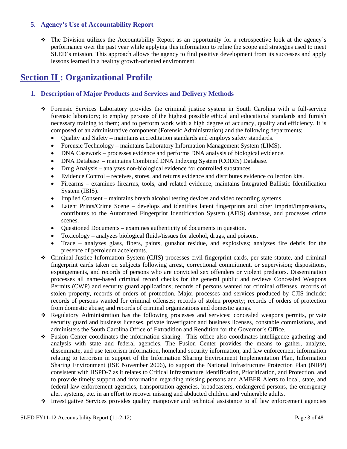#### **5. Agency's Use of Accountability Report**

 The Division utilizes the Accountability Report as an opportunity for a retrospective look at the agency's performance over the past year while applying this information to refine the scope and strategies used to meet SLED's mission. This approach allows the agency to find positive development from its successes and apply lessons learned in a healthy growth-oriented environment.

## **Section II : Organizational Profile**

#### **1. Description of Major Products and Services and Delivery Methods**

- Forensic Services Laboratory provides the criminal justice system in South Carolina with a full-service forensic laboratory; to employ persons of the highest possible ethical and educational standards and furnish necessary training to them; and to perform work with a high degree of accuracy, quality and efficiency. It is composed of an administrative component (Forensic Administration) and the following departments;
	- Quality and Safety maintains accreditation standards and employs safety standards.
	- Forensic Technology maintains Laboratory Information Management System (LIMS).
	- DNA Casework processes evidence and performs DNA analysis of biological evidence.
	- DNA Database maintains Combined DNA Indexing System (CODIS) Database.
	- Drug Analysis analyzes non-biological evidence for controlled substances.
	- Evidence Control receives, stores, and returns evidence and distributes evidence collection kits.
	- Firearms examines firearms, tools, and related evidence, maintains Integrated Ballistic Identification System (IBIS).
	- Implied Consent maintains breath alcohol testing devices and video recording systems.
	- Latent Prints/Crime Scene develops and identifies latent fingerprints and other imprint/impressions, contributes to the Automated Fingerprint Identification System (AFIS) database, and processes crime scenes.
	- Questioned Documents examines authenticity of documents in question.
	- Toxicology analyzes biological fluids/tissues for alcohol, drugs, and poisons.
	- Trace analyzes glass, fibers, paints, gunshot residue, and explosives; analyzes fire debris for the presence of petroleum accelerants.
- Criminal Justice Information System (CJIS) processes civil fingerprint cards, per state statute, and criminal fingerprint cards taken on subjects following arrest, correctional commitment, or supervision; dispositions, expungements, and records of persons who are convicted sex offenders or violent predators. Dissemination processes all name-based criminal record checks for the general public and reviews Concealed Weapons Permits (CWP) and security guard applications; records of persons wanted for criminal offenses, records of stolen property, records of orders of protection. Major processes and services produced by CJIS include: records of persons wanted for criminal offenses; records of stolen property; records of orders of protection from domestic abuse; and records of criminal organizations and domestic gangs.
- Regulatory Administration has the following processes and services: concealed weapons permits, private security guard and business licenses, private investigator and business licenses, constable commissions, and administers the South Carolina Office of Extradition and Rendition for the Governor's Office.
- Fusion Center coordinates the information sharing. This office also coordinates intelligence gathering and analysis with state and federal agencies. The Fusion Center provides the means to gather, analyze, disseminate, and use terrorism information, homeland security information, and law enforcement information relating to terrorism in support of the Information Sharing Environment Implementation Plan, Information Sharing Environment (ISE November 2006), to support the National Infrastructure Protection Plan (NIPP) consistent with HSPD-7 as it relates to Critical Infrastructure Identification, Prioritization, and Protection, and to provide timely support and information regarding missing persons and AMBER Alerts to local, state, and federal law enforcement agencies, transportation agencies, broadcasters, endangered persons, the emergency alert systems, etc. in an effort to recover missing and abducted children and vulnerable adults.
- Investigative Services provides quality manpower and technical assistance to all law enforcement agencies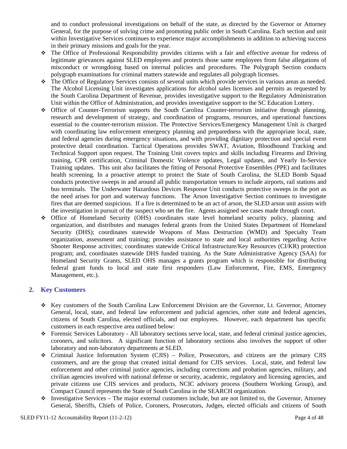and to conduct professional investigations on behalf of the state, as directed by the Governor or Attorney General, for the purpose of solving crime and promoting public order in South Carolina. Each section and unit within Investigative Services continues to experience major accomplishments in addition to achieving success in their primary missions and goals for the year.

- The Office of Professional Responsibility provides citizens with a fair and effective avenue for redress of legitimate grievances against SLED employees and protects those same employees from false allegations of misconduct or wrongdoing based on internal policies and procedures. The Polygraph Section conducts polygraph examinations for criminal matters statewide and regulates all polygraph licenses.
- The Office of Regulatory Services consists of several units which provide services in various areas as needed. The Alcohol Licensing Unit investigates applications for alcohol sales licenses and permits as requested by the South Carolina Department of Revenue, provides investigative support to the Regulatory Administration Unit within the Office of Administration, and provides investigative support to the SC Education Lottery.
- Office of Counter-Terrorism supports the South Carolina Counter-terrorism initiative through planning, research and development of strategy, and coordination of programs, resources, and operational functions essential to the counter-terrorism mission. The Protective Services/Emergency Management Unit is charged with coordinating law enforcement emergency planning and preparedness with the appropriate local, state, and federal agencies during emergency situations, and with providing dignitary protection and special event protective detail coordination. Tactical Operations provides SWAT, Aviation, Bloodhound Tracking and Technical Support upon request. The Training Unit covers topics and skills including Firearms and Driving training, CPR certification, Criminal Domestic Violence updates, Legal updates, and Yearly In-Service Training updates. This unit also facilitates the fitting of Personal Protective Ensembles (PPE) and facilitates health screening. In a proactive attempt to protect the State of South Carolina, the SLED Bomb Squad conducts protective sweeps in and around all public transportation venues to include airports, rail stations and bus terminals. The Underwater Hazardous Devices Response Unit conducts protective sweeps in the port as the need arises for port and waterway functions. The Arson Investigative Section continues to investigate fires that are deemed suspicious. If a fire is determined to be an act of arson, the SLED arson unit assists with the investigation in pursuit of the suspect who set the fire. Agents assigned see cases made through court.
- Office of Homeland Security (OHS) coordinates state level homeland security policy, planning and organization, and distributes and manages federal grants from the United States Department of Homeland Security (DHS); coordinates statewide Weapons of Mass Destruction (WMD) and Specialty Team organization, assessment and training; provides assistance to state and local authorities regarding Active Shooter Response activities; coordinates statewide Critical Infrastructure/Key Resources (CI/KR) protection program; and, coordinates statewide DHS funded training. As the State Administrative Agency (SAA) for Homeland Security Grants, SLED OHS manages a grants program which is responsible for distributing federal grant funds to local and state first responders (Law Enforcement, Fire, EMS, Emergency Management, etc.).

#### **2. Key Customers**

- Key customers of the South Carolina Law Enforcement Division are the Governor, Lt. Governor, Attorney General, local, state, and federal law enforcement and judicial agencies, other state and federal agencies, citizens of South Carolina, elected officials, and our employees. However, each department has specific customers in each respective area outlined below:
- Forensic Services Laboratory All laboratory sections serve local, state, and federal criminal justice agencies, coroners, and solicitors. A significant function of laboratory sections also involves the support of other laboratory and non-laboratory departments at SLED.
- Criminal Justice Information System (CJIS) Police, Prosecutors, and citizens are the primary CJIS customers, and are the group that created initial demand for CJIS services. Local, state, and federal law enforcement and other criminal justice agencies, including corrections and probation agencies, military, and civilian agencies involved with national defense or security, academic, regulatory and licensing agencies, and private citizens use CJIS services and products, NCIC advisory process (Southern Working Group), and Compact Council represents the State of South Carolina in the SEARCH organization.
- $\bullet$  Investigative Services The major external customers include, but are not limited to, the Governor, Attorney General, Sheriffs, Chiefs of Police, Coroners, Prosecutors, Judges, elected officials and citizens of South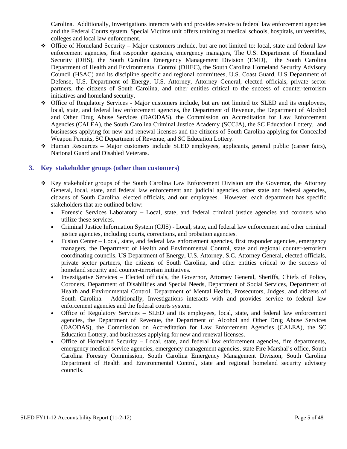Carolina. Additionally, Investigations interacts with and provides service to federal law enforcement agencies and the Federal Courts system. Special Victims unit offers training at medical schools, hospitals, universities, colleges and local law enforcement.

- Office of Homeland Security Major customers include, but are not limited to: local, state and federal law enforcement agencies, first responder agencies, emergency managers, The U.S. Department of Homeland Security (DHS), the South Carolina Emergency Management Division (EMD), the South Carolina Department of Health and Environmental Control (DHEC), the South Carolina Homeland Security Advisory Council (HSAC) and its discipline specific and regional committees, U.S. Coast Guard, U.S Department of Defense, U.S. Department of Energy, U.S. Attorney, Attorney General, elected officials, private sector partners, the citizens of South Carolina, and other entities critical to the success of counter-terrorism initiatives and homeland security.
- Office of Regulatory Services Major customers include, but are not limited to: SLED and its employees, local, state, and federal law enforcement agencies, the Department of Revenue, the Department of Alcohol and Other Drug Abuse Services (DAODAS), the Commission on Accreditation for Law Enforcement Agencies (CALEA), the South Carolina Criminal Justice Academy (SCCJA), the SC Education Lottery, and businesses applying for new and renewal licenses and the citizens of South Carolina applying for Concealed Weapon Permits, SC Department of Revenue, and SC Education Lottery.
- Human Resources Major customers include SLED employees, applicants, general public (career fairs), National Guard and Disabled Veterans.

#### **3. Key stakeholder groups (other than customers)**

- Key stakeholder groups of the South Carolina Law Enforcement Division are the Governor, the Attorney General, local, state, and federal law enforcement and judicial agencies, other state and federal agencies, citizens of South Carolina, elected officials, and our employees. However, each department has specific stakeholders that are outlined below:
	- Forensic Services Laboratory Local, state, and federal criminal justice agencies and coroners who utilize these services.
	- Criminal Justice Information System (CJIS) Local, state, and federal law enforcement and other criminal justice agencies, including courts, corrections, and probation agencies.
	- Fusion Center Local, state, and federal law enforcement agencies, first responder agencies, emergency managers, the Department of Health and Environmental Control, state and regional counter-terrorism coordinating councils, US Department of Energy, U.S. Attorney, S.C. Attorney General, elected officials, private sector partners, the citizens of South Carolina, and other entities critical to the success of homeland security and counter-terrorism initiatives.
	- Investigative Services Elected officials, the Governor, Attorney General, Sheriffs, Chiefs of Police, Coroners, Department of Disabilities and Special Needs, Department of Social Services, Department of Health and Environmental Control, Department of Mental Health, Prosecutors, Judges, and citizens of South Carolina. Additionally, Investigations interacts with and provides service to federal law enforcement agencies and the federal courts system.
	- Office of Regulatory Services SLED and its employees, local, state, and federal law enforcement agencies, the Department of Revenue, the Department of Alcohol and Other Drug Abuse Services (DAODAS), the Commission on Accreditation for Law Enforcement Agencies (CALEA), the SC Education Lottery, and businesses applying for new and renewal licenses.
	- Office of Homeland Security Local, state, and federal law enforcement agencies, fire departments, emergency medical service agencies, emergency management agencies, state Fire Marshal's office, South Carolina Forestry Commission, South Carolina Emergency Management Division, South Carolina Department of Health and Environmental Control, state and regional homeland security advisory councils.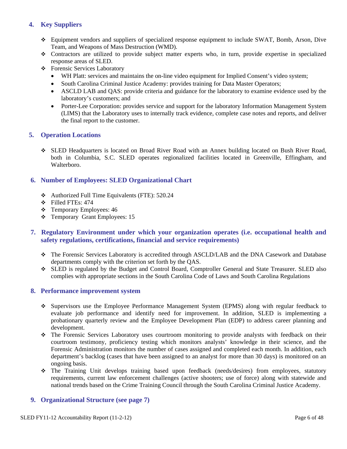#### **4. Key Suppliers**

- Equipment vendors and suppliers of specialized response equipment to include SWAT, Bomb, Arson, Dive Team, and Weapons of Mass Destruction (WMD).
- Contractors are utilized to provide subject matter experts who, in turn, provide expertise in specialized response areas of SLED.
- Forensic Services Laboratory
	- WH Platt: services and maintains the on-line video equipment for Implied Consent's video system;
	- South Carolina Criminal Justice Academy: provides training for Data Master Operators;
	- ASCLD LAB and QAS: provide criteria and guidance for the laboratory to examine evidence used by the laboratory's customers; and
	- Porter-Lee Corporation: provides service and support for the laboratory Information Management System (LIMS) that the Laboratory uses to internally track evidence, complete case notes and reports, and deliver the final report to the customer.

#### **5. Operation Locations**

 SLED Headquarters is located on Broad River Road with an Annex building located on Bush River Road, both in Columbia, S.C. SLED operates regionalized facilities located in Greenville, Effingham, and Walterboro.

#### **6. Number of Employees: SLED Organizational Chart**

- Authorized Full Time Equivalents (FTE): 520.24
- $\div$  Filled FTEs: 474
- Temporary Employees: 46
- Temporary Grant Employees: 15

#### **7. Regulatory Environment under which your organization operates (i.e. occupational health and safety regulations, certifications, financial and service requirements)**

- The Forensic Services Laboratory is accredited through ASCLD/LAB and the DNA Casework and Database departments comply with the criterion set forth by the QAS.
- SLED is regulated by the Budget and Control Board, Comptroller General and State Treasurer. SLED also complies with appropriate sections in the South Carolina Code of Laws and South Carolina Regulations

#### **8. Performance improvement system**

- Supervisors use the Employee Performance Management System (EPMS) along with regular feedback to evaluate job performance and identify need for improvement. In addition, SLED is implementing a probationary quarterly review and the Employee Development Plan (EDP) to address career planning and development.
- The Forensic Services Laboratory uses courtroom monitoring to provide analysts with feedback on their courtroom testimony, proficiency testing which monitors analysts' knowledge in their science, and the Forensic Administration monitors the number of cases assigned and completed each month. In addition, each department's backlog (cases that have been assigned to an analyst for more than 30 days) is monitored on an ongoing basis.
- The Training Unit develops training based upon feedback (needs/desires) from employees, statutory requirements, current law enforcement challenges (active shooters; use of force) along with statewide and national trends based on the Crime Training Council through the South Carolina Criminal Justice Academy.

#### **9. Organizational Structure (see page 7)**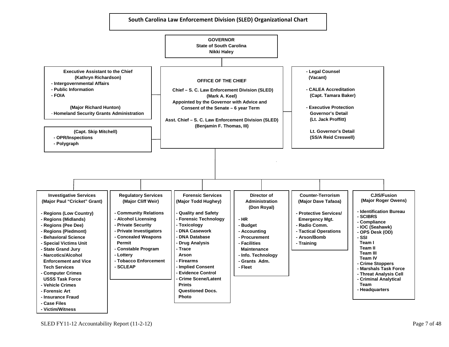

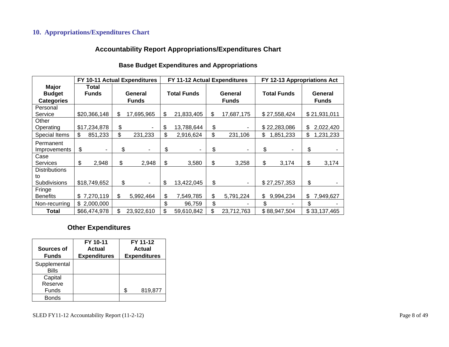#### **10. Appropriations/Expenditures Chart**

#### **Accountability Report Appropriations/Expenditures Chart**

#### **Base Budget Expenditures and Appropriations**

|                        |                       | FY 10-11 Actual Expenditures |             | FY 11-12 Actual Expenditures |    |              | FY 12-13 Appropriations Act |                 |  |
|------------------------|-----------------------|------------------------------|-------------|------------------------------|----|--------------|-----------------------------|-----------------|--|
| Major<br><b>Budget</b> | Total<br><b>Funds</b> | General                      |             | <b>Total Funds</b>           |    | General      | <b>Total Funds</b>          | General         |  |
| <b>Categories</b>      |                       | <b>Funds</b>                 |             |                              |    | <b>Funds</b> |                             | <b>Funds</b>    |  |
| Personal               |                       |                              |             |                              |    |              |                             |                 |  |
| Service                | \$20,366,148          | \$<br>17,695,965             | \$          | 21,833,405                   | \$ | 17,687,175   | \$27,558,424                | \$21,931,011    |  |
| Other                  |                       |                              |             |                              |    |              |                             |                 |  |
| Operating              | \$17,234,878          | \$                           | \$          | 13,788,644                   | \$ |              | \$22,283,086                | \$<br>2,022,420 |  |
| Special Items          | \$<br>851,233         | \$<br>231,233                | \$          | 2,916,624                    | \$ | 231,106      | \$<br>1,851,233             | \$<br>1,231,233 |  |
| Permanent              |                       |                              |             |                              |    |              |                             |                 |  |
| Improvements           | \$                    | \$                           | \$<br>۰     | ۰                            | \$ |              | \$                          | \$              |  |
| Case                   |                       |                              |             |                              |    |              |                             |                 |  |
| <b>Services</b>        | \$<br>2,948           | \$                           | \$<br>2,948 | 3,580                        | \$ | 3,258        | \$<br>3,174                 | \$<br>3,174     |  |
| <b>Distributions</b>   |                       |                              |             |                              |    |              |                             |                 |  |
| to                     |                       |                              |             |                              |    |              |                             |                 |  |
| Subdivisions           | \$18,749,652          | \$                           | \$<br>٠     | 13,422,045                   | \$ |              | \$27,257,353                | \$              |  |
| Fringe                 |                       |                              |             |                              |    |              |                             |                 |  |
| <b>Benefits</b>        | 7,270,119<br>\$.      | \$<br>5,992,464              | \$          | 7,549,785                    | \$ | 5,791,224    | \$<br>9,994,234             | \$<br>7,949,627 |  |
| Non-recurring          | \$2,000,000           |                              | \$          | 96,759                       | \$ |              | \$                          | \$              |  |
| Total                  | \$66,474,978          | \$.<br>23,922,610            | \$          | 59,610,842                   | \$ | 23,712,763   | \$88,947,504                | \$33,137,465    |  |

#### **Other Expenditures**

| Sources of<br><b>Funds</b>   | FY 10-11<br>Actual<br><b>Expenditures</b> | FY 11-12<br>Actual<br><b>Expenditures</b> |         |
|------------------------------|-------------------------------------------|-------------------------------------------|---------|
| Supplemental<br><b>Bills</b> |                                           |                                           |         |
| Capital                      |                                           |                                           |         |
| Reserve                      |                                           |                                           |         |
| Funds                        |                                           |                                           | 819,877 |
| <b>Bonds</b>                 |                                           |                                           |         |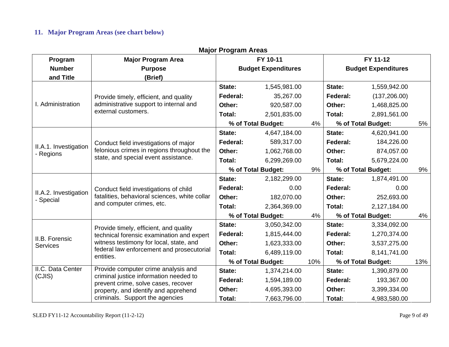#### **11. Major Program Areas (see chart below)**

|                                    | major ni ogram Arvas                                                                                                        |                    |                            |     |                            |                    |     |  |  |  |
|------------------------------------|-----------------------------------------------------------------------------------------------------------------------------|--------------------|----------------------------|-----|----------------------------|--------------------|-----|--|--|--|
| Program                            | <b>Major Program Area</b>                                                                                                   | FY 10-11           |                            |     |                            | FY 11-12           |     |  |  |  |
| <b>Number</b>                      | <b>Purpose</b>                                                                                                              |                    | <b>Budget Expenditures</b> |     | <b>Budget Expenditures</b> |                    |     |  |  |  |
| and Title                          | (Brief)                                                                                                                     |                    |                            |     |                            |                    |     |  |  |  |
|                                    |                                                                                                                             | State:             | 1,545,981.00               |     | State:                     | 1,559,942.00       |     |  |  |  |
|                                    | Provide timely, efficient, and quality                                                                                      | Federal:           | 35,267.00                  |     | Federal:                   | (137, 206.00)      |     |  |  |  |
| I. Administration                  | administrative support to internal and                                                                                      | Other:             | 920,587.00                 |     | Other:                     | 1,468,825.00       |     |  |  |  |
|                                    | external customers.                                                                                                         | Total:             | 2,501,835.00               |     | Total:                     | 2,891,561.00       |     |  |  |  |
|                                    |                                                                                                                             |                    | % of Total Budget:         | 4%  |                            | % of Total Budget: | 5%  |  |  |  |
|                                    |                                                                                                                             | State:             | 4,647,184.00               |     | State:                     | 4,620,941.00       |     |  |  |  |
|                                    | Conduct field investigations of major<br>felonious crimes in regions throughout the<br>state, and special event assistance. | Federal:           | 589,317.00                 |     | Federal:                   | 184,226.00         |     |  |  |  |
| II.A.1. Investigation<br>- Regions |                                                                                                                             | Other:             | 1,062,768.00               |     | Other:                     | 874,057.00         |     |  |  |  |
|                                    |                                                                                                                             | Total:             | 6,299,269.00               |     | Total:                     | 5,679,224.00       |     |  |  |  |
|                                    |                                                                                                                             | % of Total Budget: |                            | 9%  | % of Total Budget:         |                    | 9%  |  |  |  |
|                                    | Conduct field investigations of child<br>fatalities, behavioral sciences, white collar<br>and computer crimes, etc.         | State:             | 2,182,299.00               |     | State:                     | 1,874,491.00       |     |  |  |  |
|                                    |                                                                                                                             | Federal:           | 0.00                       |     | Federal:                   | 0.00               |     |  |  |  |
| II.A.2. Investigation<br>- Special |                                                                                                                             | Other:             | 182,070.00                 |     | Other:                     | 252,693.00         |     |  |  |  |
|                                    |                                                                                                                             | Total:             | 2,364,369.00               |     | Total:                     | 2,127,184.00       |     |  |  |  |
|                                    |                                                                                                                             | % of Total Budget: |                            | 4%  | % of Total Budget:         |                    | 4%  |  |  |  |
|                                    | Provide timely, efficient, and quality                                                                                      | State:             | 3,050,342.00               |     | State:                     | 3,334,092.00       |     |  |  |  |
|                                    | technical forensic examination and expert                                                                                   | Federal:           | 1,815,444.00               |     | Federal:                   | 1,270,374.00       |     |  |  |  |
| II.B. Forensic<br><b>Services</b>  | witness testimony for local, state, and                                                                                     | Other:             | 1,623,333.00               |     | Other:                     | 3,537,275.00       |     |  |  |  |
|                                    | federal law enforcement and prosecutorial                                                                                   | Total:             | 6,489,119.00               |     | Total:                     | 8,141,741.00       |     |  |  |  |
|                                    | entities.                                                                                                                   |                    | % of Total Budget:         | 10% |                            | % of Total Budget: | 13% |  |  |  |
| II.C. Data Center                  | Provide computer crime analysis and                                                                                         | State:             | 1,374,214.00               |     | State:                     | 1,390,879.00       |     |  |  |  |
| (CJIS)                             | criminal justice information needed to<br>prevent crime, solve cases, recover                                               | Federal:           | 1,594,189.00               |     | Federal:                   | 193,367.00         |     |  |  |  |
|                                    | property, and identify and apprehend                                                                                        | Other:             | 4,695,393.00               |     | Other:                     | 3,399,334.00       |     |  |  |  |
|                                    | criminals. Support the agencies                                                                                             | Total:             | 7,663,796.00               |     | Total:                     | 4,983,580.00       |     |  |  |  |

#### **Major Program Ar eas**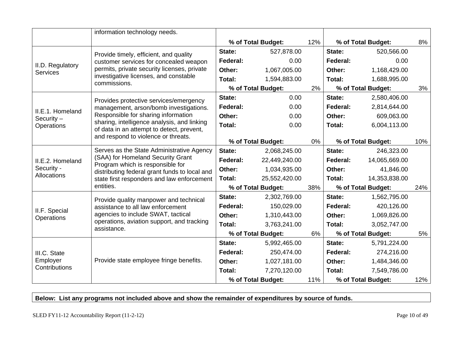|                                     | information technology needs.                                                                                                                                                                                                  |          |                    |     |          |                    |     |
|-------------------------------------|--------------------------------------------------------------------------------------------------------------------------------------------------------------------------------------------------------------------------------|----------|--------------------|-----|----------|--------------------|-----|
|                                     |                                                                                                                                                                                                                                |          | % of Total Budget: | 12% |          | % of Total Budget: | 8%  |
|                                     | Provide timely, efficient, and quality                                                                                                                                                                                         | State:   | 527,878.00         |     | State:   | 520,566.00         |     |
|                                     | customer services for concealed weapon                                                                                                                                                                                         | Federal: | 0.00               |     | Federal: | 0.00               |     |
| II.D. Regulatory<br><b>Services</b> | permits, private security licenses, private                                                                                                                                                                                    | Other:   | 1,067,005.00       |     | Other:   | 1,168,429.00       |     |
|                                     | investigative licenses, and constable<br>commissions.                                                                                                                                                                          | Total:   | 1,594,883.00       |     | Total:   | 1,688,995.00       |     |
|                                     |                                                                                                                                                                                                                                |          | % of Total Budget: | 2%  |          | % of Total Budget: | 3%  |
|                                     | Provides protective services/emergency                                                                                                                                                                                         | State:   | 0.00               |     | State:   | 2,580,406.00       |     |
| II.E.1. Homeland                    | management, arson/bomb investigations.                                                                                                                                                                                         | Federal: | 0.00               |     | Federal: | 2,814,644.00       |     |
| Security $-$                        | Responsible for sharing information                                                                                                                                                                                            | Other:   | 0.00               |     | Other:   | 609,063.00         |     |
| Operations                          | sharing, intelligence analysis, and linking<br>of data in an attempt to detect, prevent,                                                                                                                                       | Total:   | 0.00               |     | Total:   | 6,004,113.00       |     |
|                                     | and respond to violence or threats.                                                                                                                                                                                            |          |                    |     |          |                    |     |
|                                     |                                                                                                                                                                                                                                |          | % of Total Budget: | 0%  |          | % of Total Budget: | 10% |
|                                     | Serves as the State Administrative Agency<br>(SAA) for Homeland Security Grant<br>Program which is responsible for<br>distributing federal grant funds to local and<br>state first responders and law enforcement<br>entities. | State:   | 2,068,245.00       |     | State:   | 246,323.00         |     |
| II.E.2. Homeland                    |                                                                                                                                                                                                                                | Federal: | 22,449,240.00      |     | Federal: | 14,065,669.00      |     |
| Security -                          |                                                                                                                                                                                                                                | Other:   | 1,034,935.00       |     | Other:   | 41,846.00          |     |
| Allocations                         |                                                                                                                                                                                                                                | Total:   | 25,552,420.00      |     | Total:   | 14,353,838.00      |     |
|                                     |                                                                                                                                                                                                                                |          | % of Total Budget: | 38% |          | % of Total Budget: | 24% |
|                                     | Provide quality manpower and technical                                                                                                                                                                                         | State:   | 2,302,769.00       |     | State:   | 1,562,795.00       |     |
| II.F. Special                       | assistance to all law enforcement                                                                                                                                                                                              | Federal: | 150,029.00         |     | Federal: | 420,126.00         |     |
| Operations                          | agencies to include SWAT, tactical                                                                                                                                                                                             | Other:   | 1,310,443.00       |     | Other:   | 1,069,826.00       |     |
|                                     | operations, aviation support, and tracking<br>assistance.                                                                                                                                                                      | Total:   | 3,763,241.00       |     | Total:   | 3,052,747.00       |     |
|                                     |                                                                                                                                                                                                                                |          | % of Total Budget: | 6%  |          | % of Total Budget: | 5%  |
|                                     |                                                                                                                                                                                                                                | State:   | 5,992,465.00       |     | State:   | 5,791,224.00       |     |
| III.C. State                        |                                                                                                                                                                                                                                | Federal: | 250,474.00         |     | Federal: | 274,216.00         |     |
| Employer                            | Provide state employee fringe benefits.                                                                                                                                                                                        | Other:   | 1,027,181.00       |     | Other:   | 1,484,346.00       |     |
| Contributions                       |                                                                                                                                                                                                                                | Total:   | 7,270,120.00       |     | Total:   | 7,549,786.00       |     |
|                                     |                                                                                                                                                                                                                                |          | % of Total Budget: | 11% |          | % of Total Budget: | 12% |

**Below: List any programs not included above and show the remainder of expenditures by source of funds.**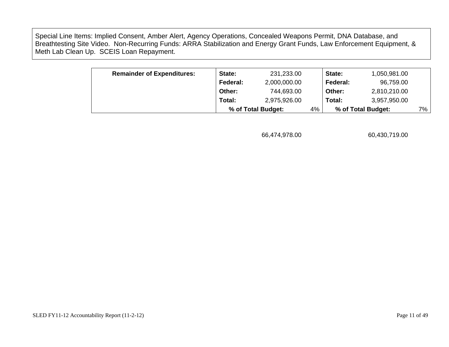Special Line Items: Implied Consent, Amber Alert, Agency Operations, Concealed Weapons Permit, DNA Database, and Breathtesting Site Video. Non-Recurring Funds: ARRA Stabilization and Energy Grant Funds, Law Enforcement Equipment, & Meth Lab Clean Up. SCEIS Loan Repayment.

| <b>Remainder of Expenditures:</b> | State:   | 231,233.00         |    | State:   | 1,050,981.00       |    |
|-----------------------------------|----------|--------------------|----|----------|--------------------|----|
|                                   | Federal: | 2,000,000.00       |    | Federal: | 96,759.00          |    |
|                                   | Other:   | 744,693.00         |    | Other:   | 2,810,210.00       |    |
|                                   | Total:   | 2,975,926.00       |    | Total:   | 3,957,950.00       |    |
|                                   |          | % of Total Budget: | 4% |          | % of Total Budget: | 7% |

66,474,978.00 60,430,719.00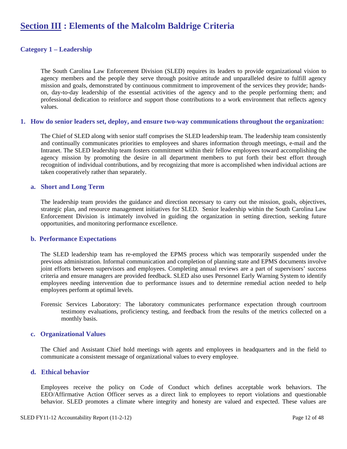## **Section III : Elements of the Malcolm Baldrige Criteria**

#### **Category 1 – Leadership**

The South Carolina Law Enforcement Division (SLED) requires its leaders to provide organizational vision to agency members and the people they serve through positive attitude and unparalleled desire to fulfill agency mission and goals, demonstrated by continuous commitment to improvement of the services they provide; handson, day-to-day leadership of the essential activities of the agency and to the people performing them; and professional dedication to reinforce and support those contributions to a work environment that reflects agency values.

#### **1. How do senior leaders set, deploy, and ensure two-way communications throughout the organization:**

The Chief of SLED along with senior staff comprises the SLED leadership team. The leadership team consistently and continually communicates priorities to employees and shares information through meetings, e-mail and the Intranet. The SLED leadership team fosters commitment within their fellow employees toward accomplishing the agency mission by promoting the desire in all department members to put forth their best effort through recognition of individual contributions, and by recognizing that more is accomplished when individual actions are taken cooperatively rather than separately.

#### **a. Short and Long Term**

The leadership team provides the guidance and direction necessary to carry out the mission, goals, objectives, strategic plan, and resource management initiatives for SLED. Senior leadership within the South Carolina Law Enforcement Division is intimately involved in guiding the organization in setting direction, seeking future opportunities, and monitoring performance excellence.

#### **b. Performance Expectations**

The SLED leadership team has re-employed the EPMS process which was temporarily suspended under the previous administration. Informal communication and completion of planning state and EPMS documents involve joint efforts between supervisors and employees. Completing annual reviews are a part of supervisors' success criteria and ensure managers are provided feedback. SLED also uses Personnel Early Warning System to identify employees needing intervention due to performance issues and to determine remedial action needed to help employees perform at optimal levels.

Forensic Services Laboratory: The laboratory communicates performance expectation through courtroom testimony evaluations, proficiency testing, and feedback from the results of the metrics collected on a monthly basis.

#### **c. Organizational Values**

The Chief and Assistant Chief hold meetings with agents and employees in headquarters and in the field to communicate a consistent message of organizational values to every employee.

#### **d. Ethical behavior**

Employees receive the policy on Code of Conduct which defines acceptable work behaviors. The EEO/Affirmative Action Officer serves as a direct link to employees to report violations and questionable behavior. SLED promotes a climate where integrity and honesty are valued and expected. These values are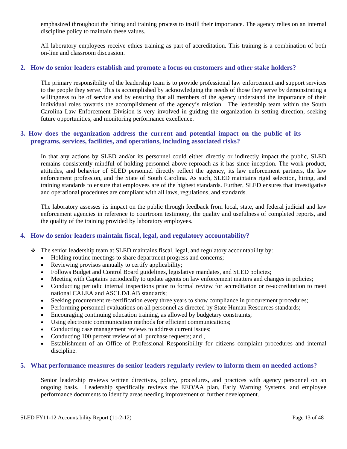emphasized throughout the hiring and training process to instill their importance. The agency relies on an internal discipline policy to maintain these values.

All laboratory employees receive ethics training as part of accreditation. This training is a combination of both on-line and classroom discussion.

#### **2. How do senior leaders establish and promote a focus on customers and other stake holders?**

The primary responsibility of the leadership team is to provide professional law enforcement and support services to the people they serve. This is accomplished by acknowledging the needs of those they serve by demonstrating a willingness to be of service and by ensuring that all members of the agency understand the importance of their individual roles towards the accomplishment of the agency's mission. The leadership team within the South Carolina Law Enforcement Division is very involved in guiding the organization in setting direction, seeking future opportunities, and monitoring performance excellence.

#### **3. How does the organization address the current and potential impact on the public of its programs, services, facilities, and operations, including associated risks?**

In that any actions by SLED and/or its personnel could either directly or indirectly impact the public, SLED remains consistently mindful of holding personnel above reproach as it has since inception. The work product, attitudes, and behavior of SLED personnel directly reflect the agency, its law enforcement partners, the law enforcement profession, and the State of South Carolina. As such, SLED maintains rigid selection, hiring, and training standards to ensure that employees are of the highest standards. Further, SLED ensures that investigative and operational procedures are compliant with all laws, regulations, and standards.

The laboratory assesses its impact on the public through feedback from local, state, and federal judicial and law enforcement agencies in reference to courtroom testimony, the quality and usefulness of completed reports, and the quality of the training provided by laboratory employees.

#### **4. How do senior leaders maintain fiscal, legal, and regulatory accountability?**

- $\div$  The senior leadership team at SLED maintains fiscal, legal, and regulatory accountability by:
	- Holding routine meetings to share department progress and concerns;
	- Reviewing provisos annually to certify applicability;
	- Follows Budget and Control Board guidelines, legislative mandates, and SLED policies;
	- Meeting with Captains periodically to update agents on law enforcement matters and changes in policies;
	- Conducting periodic internal inspections prior to formal review for accreditation or re-accreditation to meet national CALEA and ASCLD/LAB standards;
	- Seeking procurement re-certification every three years to show compliance in procurement procedures;
	- Performing personnel evaluations on all personnel as directed by State Human Resources standards;
	- Encouraging continuing education training, as allowed by budgetary constraints;
	- Using electronic communication methods for efficient communications;
	- Conducting case management reviews to address current issues;
	- Conducting 100 percent review of all purchase requests; and ,
	- Establishment of an Office of Professional Responsibility for citizens complaint procedures and internal discipline.

#### **5. What performance measures do senior leaders regularly review to inform them on needed actions?**

Senior leadership reviews written directives, policy, procedures, and practices with agency personnel on an ongoing basis. Leadership specifically reviews the EEO/AA plan, Early Warning Systems, and employee performance documents to identify areas needing improvement or further development.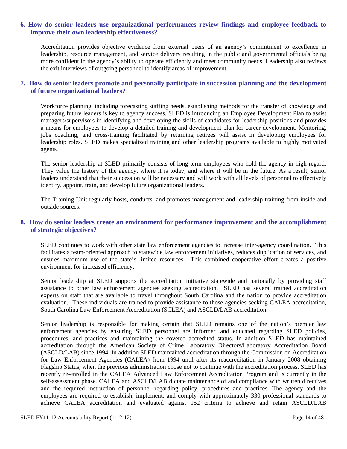#### **6. How do senior leaders use organizational performances review findings and employee feedback to improve their own leadership effectiveness?**

Accreditation provides objective evidence from external peers of an agency's commitment to excellence in leadership, resource management, and service delivery resulting in the public and governmental officials being more confident in the agency's ability to operate efficiently and meet community needs. Leadership also reviews the exit interviews of outgoing personnel to identify areas of improvement.

#### **7. How do senior leaders promote and personally participate in succession planning and the development of future organizational leaders?**

Workforce planning, including forecasting staffing needs, establishing methods for the transfer of knowledge and preparing future leaders is key to agency success. SLED is introducing an Employee Development Plan to assist managers/supervisors in identifying and developing the skills of candidates for leadership positions and provides a means for employees to develop a detailed training and development plan for career development. Mentoring, jobs coaching, and cross-training facilitated by returning retirees will assist in developing employees for leadership roles. SLED makes specialized training and other leadership programs available to highly motivated agents.

The senior leadership at SLED primarily consists of long-term employees who hold the agency in high regard. They value the history of the agency, where it is today, and where it will be in the future. As a result, senior leaders understand that their succession will be necessary and will work with all levels of personnel to effectively identify, appoint, train, and develop future organizational leaders.

The Training Unit regularly hosts, conducts, and promotes management and leadership training from inside and outside sources.

#### **8. How do senior leaders create an environment for performance improvement and the accomplishment of strategic objectives?**

SLED continues to work with other state law enforcement agencies to increase inter-agency coordination. This facilitates a team-oriented approach to statewide law enforcement initiatives, reduces duplication of services, and ensures maximum use of the state's limited resources. This combined cooperative effort creates a positive environment for increased efficiency.

Senior leadership at SLED supports the accreditation initiative statewide and nationally by providing staff assistance to other law enforcement agencies seeking accreditation. SLED has several trained accreditation experts on staff that are available to travel throughout South Carolina and the nation to provide accreditation evaluation. These individuals are trained to provide assistance to those agencies seeking CALEA accreditation, South Carolina Law Enforcement Accreditation (SCLEA) and ASCLD/LAB accreditation.

Senior leadership is responsible for making certain that SLED remains one of the nation's premier law enforcement agencies by ensuring SLED personnel are informed and educated regarding SLED policies, procedures, and practices and maintaining the coveted accredited status. In addition SLED has maintained accreditation through the American Society of Crime Laboratory Directors/Laboratory Accreditation Board (ASCLD/LAB) since 1994. In addition SLED maintained accreditation through the Commission on Accreditation for Law Enforcement Agencies (CALEA) from 1994 until after its reaccreditation in January 2008 obtaining Flagship Status, when the previous administration chose not to continue with the accreditation process. SLED has recently re-enrolled in the CALEA Advanced Law Enforcement Accreditation Program and is currently in the self-assessment phase. CALEA and ASCLD/LAB dictate maintenance of and compliance with written directives and the required instruction of personnel regarding policy, procedures and practices. The agency and the employees are required to establish, implement, and comply with approximately 330 professional standards to achieve CALEA accreditation and evaluated against 152 criteria to achieve and retain ASCLD/LAB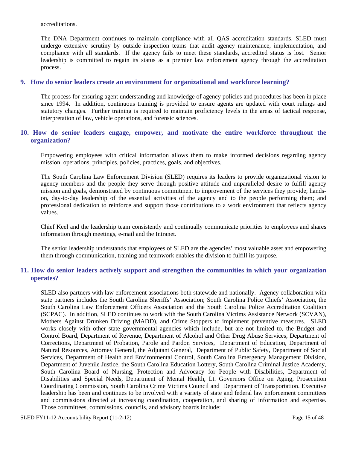accreditations.

The DNA Department continues to maintain compliance with all QAS accreditation standards. SLED must undergo extensive scrutiny by outside inspection teams that audit agency maintenance, implementation, and compliance with all standards. If the agency fails to meet these standards, accredited status is lost. Senior leadership is committed to regain its status as a premier law enforcement agency through the accreditation process.

#### **9. How do senior leaders create an environment for organizational and workforce learning?**

The process for ensuring agent understanding and knowledge of agency policies and procedures has been in place since 1994. In addition, continuous training is provided to ensure agents are updated with court rulings and statutory changes. Further training is required to maintain proficiency levels in the areas of tactical response, interpretation of law, vehicle operations, and forensic sciences.

#### **10. How do senior leaders engage, empower, and motivate the entire workforce throughout the organization?**

Empowering employees with critical information allows them to make informed decisions regarding agency mission, operations, principles, policies, practices, goals, and objectives.

The South Carolina Law Enforcement Division (SLED) requires its leaders to provide organizational vision to agency members and the people they serve through positive attitude and unparalleled desire to fulfill agency mission and goals, demonstrated by continuous commitment to improvement of the services they provide; handson, day-to-day leadership of the essential activities of the agency and to the people performing them; and professional dedication to reinforce and support those contributions to a work environment that reflects agency values.

Chief Keel and the leadership team consistently and continually communicate priorities to employees and shares information through meetings, e-mail and the Intranet.

The senior leadership understands that employees of SLED are the agencies' most valuable asset and empowering them through communication, training and teamwork enables the division to fulfill its purpose.

#### **11. How do senior leaders actively support and strengthen the communities in which your organization operates?**

SLED also partners with law enforcement associations both statewide and nationally. Agency collaboration with state partners includes the South Carolina Sheriffs' Association; South Carolina Police Chiefs' Association, the South Carolina Law Enforcement Officers Association and the South Carolina Police Accreditation Coalition (SCPAC). In addition, SLED continues to work with the South Carolina Victims Assistance Network (SCVAN), Mothers Against Drunken Driving (MADD), and Crime Stoppers to implement preventive measures. SLED works closely with other state governmental agencies which include, but are not limited to, the Budget and Control Board, Department of Revenue, Department of Alcohol and Other Drug Abuse Services, Department of Corrections, Department of Probation, Parole and Pardon Services, Department of Education, Department of Natural Resources, Attorney General, the Adjutant General, Department of Public Safety, Department of Social Services, Department of Health and Environmental Control, South Carolina Emergency Management Division, Department of Juvenile Justice, the South Carolina Education Lottery, South Carolina Criminal Justice Academy, South Carolina Board of Nursing, Protection and Advocacy for People with Disabilities, Department of Disabilities and Special Needs, Department of Mental Health, Lt. Governors Office on Aging, Prosecution Coordinating Commission, South Carolina Crime Victims Council and Department of Transportation. Executive leadership has been and continues to be involved with a variety of state and federal law enforcement committees and commissions directed at increasing coordination, cooperation, and sharing of information and expertise. Those committees, commissions, councils, and advisory boards include: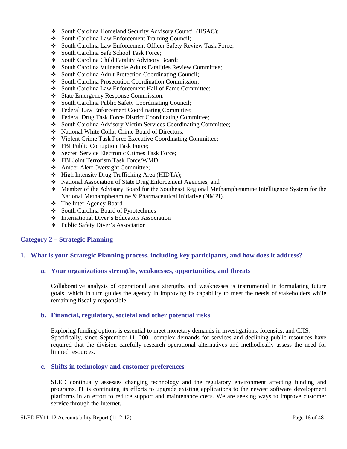- South Carolina Homeland Security Advisory Council (HSAC);
- South Carolina Law Enforcement Training Council;
- South Carolina Law Enforcement Officer Safety Review Task Force;
- South Carolina Safe School Task Force;
- South Carolina Child Fatality Advisory Board:
- South Carolina Vulnerable Adults Fatalities Review Committee;
- South Carolina Adult Protection Coordinating Council;
- South Carolina Prosecution Coordination Commission;
- ◆ South Carolina Law Enforcement Hall of Fame Committee;
- State Emergency Response Commission;
- South Carolina Public Safety Coordinating Council;
- Federal Law Enforcement Coordinating Committee;
- Federal Drug Task Force District Coordinating Committee;
- South Carolina Advisory Victim Services Coordinating Committee;
- National White Collar Crime Board of Directors;
- Violent Crime Task Force Executive Coordinating Committee;
- FBI Public Corruption Task Force;
- Secret Service Electronic Crimes Task Force;
- FBI Joint Terrorism Task Force/WMD;
- Amber Alert Oversight Committee;
- High Intensity Drug Trafficking Area (HIDTA);
- National Association of State Drug Enforcement Agencies; and
- Member of the Advisory Board for the Southeast Regional Methamphetamine Intelligence System for the National Methamphetamine & Pharmaceutical Initiative (NMPI).
- The Inter-Agency Board
- South Carolina Board of Pyrotechnics
- International Diver's Educators Association
- Public Safety Diver's Association

#### **Category 2 – Strategic Planning**

#### **1. What is your Strategic Planning process, including key participants, and how does it address?**

#### **a. Your organizations strengths, weaknesses, opportunities, and threats**

Collaborative analysis of operational area strengths and weaknesses is instrumental in formulating future goals, which in turn guides the agency in improving its capability to meet the needs of stakeholders while remaining fiscally responsible.

#### **b. Financial, regulatory, societal and other potential risks**

Exploring funding options is essential to meet monetary demands in investigations, forensics, and CJIS. Specifically, since September 11, 2001 complex demands for services and declining public resources have required that the division carefully research operational alternatives and methodically assess the need for limited resources.

#### **c. Shifts in technology and customer preferences**

SLED continually assesses changing technology and the regulatory environment affecting funding and programs. IT is continuing its efforts to upgrade existing applications to the newest software development platforms in an effort to reduce support and maintenance costs. We are seeking ways to improve customer service through the Internet.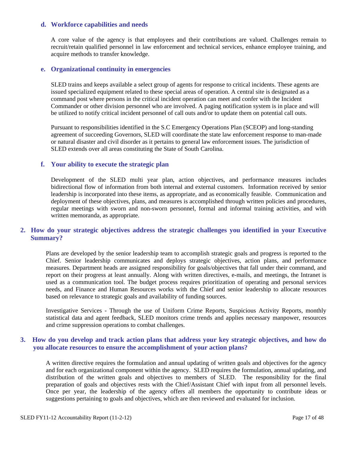#### **d. Workforce capabilities and needs**

A core value of the agency is that employees and their contributions are valued. Challenges remain to recruit/retain qualified personnel in law enforcement and technical services, enhance employee training, and acquire methods to transfer knowledge.

#### **e. Organizational continuity in emergencies**

SLED trains and keeps available a select group of agents for response to critical incidents. These agents are issued specialized equipment related to these special areas of operation. A central site is designated as a command post where persons in the critical incident operation can meet and confer with the Incident Commander or other division personnel who are involved. A paging notification system is in place and will be utilized to notify critical incident personnel of call outs and/or to update them on potential call outs.

Pursuant to responsibilities identified in the S.C Emergency Operations Plan (SCEOP) and long-standing agreement of succeeding Governors, SLED will coordinate the state law enforcement response to man-made or natural disaster and civil disorder as it pertains to general law enforcement issues. The jurisdiction of SLED extends over all areas constituting the State of South Carolina.

#### **f. Your ability to execute the strategic plan**

Development of the SLED multi year plan, action objectives, and performance measures includes bidirectional flow of information from both internal and external customers. Information received by senior leadership is incorporated into these items, as appropriate, and as economically feasible. Communication and deployment of these objectives, plans, and measures is accomplished through written policies and procedures, regular meetings with sworn and non-sworn personnel, formal and informal training activities, and with written memoranda, as appropriate.

#### **2. How do your strategic objectives address the strategic challenges you identified in your Executive Summary?**

Plans are developed by the senior leadership team to accomplish strategic goals and progress is reported to the Chief. Senior leadership communicates and deploys strategic objectives, action plans, and performance measures. Department heads are assigned responsibility for goals/objectives that fall under their command, and report on their progress at least annually. Along with written directives, e-mails, and meetings, the Intranet is used as a communication tool. The budget process requires prioritization of operating and personal services needs, and Finance and Human Resources works with the Chief and senior leadership to allocate resources based on relevance to strategic goals and availability of funding sources.

Investigative Services - Through the use of Uniform Crime Reports, Suspicious Activity Reports, monthly statistical data and agent feedback, SLED monitors crime trends and applies necessary manpower, resources and crime suppression operations to combat challenges.

#### **3. How do you develop and track action plans that address your key strategic objectives, and how do you allocate resources to ensure the accomplishment of your action plans?**

A written directive requires the formulation and annual updating of written goals and objectives for the agency and for each organizational component within the agency. SLED requires the formulation, annual updating, and distribution of the written goals and objectives to members of SLED. The responsibility for the final preparation of goals and objectives rests with the Chief/Assistant Chief with input from all personnel levels. Once per year, the leadership of the agency offers all members the opportunity to contribute ideas or suggestions pertaining to goals and objectives, which are then reviewed and evaluated for inclusion.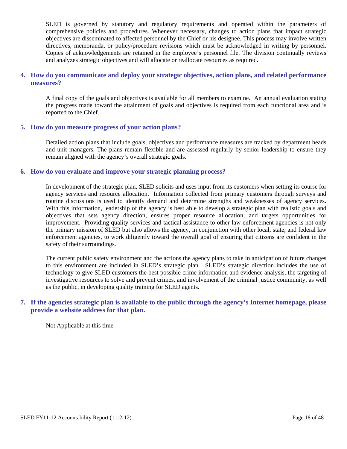SLED is governed by statutory and regulatory requirements and operated within the parameters of comprehensive policies and procedures. Whenever necessary, changes to action plans that impact strategic objectives are disseminated to affected personnel by the Chief or his designee. This process may involve written directives, memoranda, or policy/procedure revisions which must be acknowledged in writing by personnel. Copies of acknowledgements are retained in the employee's personnel file. The division continually reviews and analyzes strategic objectives and will allocate or reallocate resources as required.

#### **4. How do you communicate and deploy your strategic objectives, action plans, and related performance measures?**

A final copy of the goals and objectives is available for all members to examine. An annual evaluation stating the progress made toward the attainment of goals and objectives is required from each functional area and is reported to the Chief.

#### **5. How do you measure progress of your action plans?**

Detailed action plans that include goals, objectives and performance measures are tracked by department heads and unit managers. The plans remain flexible and are assessed regularly by senior leadership to ensure they remain aligned with the agency's overall strategic goals.

#### **6. How do you evaluate and improve your strategic planning process?**

In development of the strategic plan, SLED solicits and uses input from its customers when setting its course for agency services and resource allocation. Information collected from primary customers through surveys and routine discussions is used to identify demand and determine strengths and weaknesses of agency services. With this information, leadership of the agency is best able to develop a strategic plan with realistic goals and objectives that sets agency direction, ensures proper resource allocation, and targets opportunities for improvement. Providing quality services and tactical assistance to other law enforcement agencies is not only the primary mission of SLED but also allows the agency, in conjunction with other local, state, and federal law enforcement agencies, to work diligently toward the overall goal of ensuring that citizens are confident in the safety of their surroundings.

The current public safety environment and the actions the agency plans to take in anticipation of future changes to this environment are included in SLED's strategic plan. SLED's strategic direction includes the use of technology to give SLED customers the best possible crime information and evidence analysis, the targeting of investigative resources to solve and prevent crimes, and involvement of the criminal justice community, as well as the public, in developing quality training for SLED agents.

#### **7. If the agencies strategic plan is available to the public through the agency's Internet homepage, please provide a website address for that plan.**

Not Applicable at this time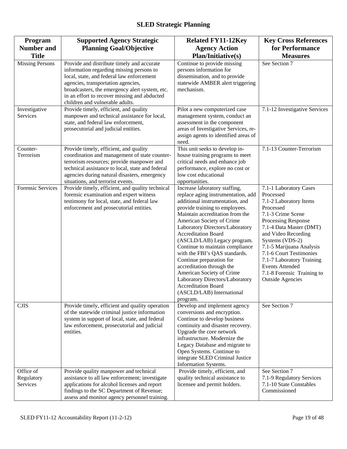| Program<br><b>Number and</b>        | <b>Supported Agency Strategic</b><br><b>Planning Goal/Objective</b>                                                                                                                                                                                                                                            | <b>Related FY11-12Key</b><br><b>Agency Action</b>                                                                                                                                                                                                                                                                                                                                                                                                                                                                                                                            | <b>Key Cross References</b><br>for Performance                                                                                                                                                                                                                                                                                                                     |
|-------------------------------------|----------------------------------------------------------------------------------------------------------------------------------------------------------------------------------------------------------------------------------------------------------------------------------------------------------------|------------------------------------------------------------------------------------------------------------------------------------------------------------------------------------------------------------------------------------------------------------------------------------------------------------------------------------------------------------------------------------------------------------------------------------------------------------------------------------------------------------------------------------------------------------------------------|--------------------------------------------------------------------------------------------------------------------------------------------------------------------------------------------------------------------------------------------------------------------------------------------------------------------------------------------------------------------|
| <b>Title</b>                        |                                                                                                                                                                                                                                                                                                                | <b>Plan/Initiative(s)</b>                                                                                                                                                                                                                                                                                                                                                                                                                                                                                                                                                    | <b>Measures</b>                                                                                                                                                                                                                                                                                                                                                    |
| <b>Missing Persons</b>              | Provide and distribute timely and accurate<br>information regarding missing persons to<br>local, state, and federal law enforcement<br>agencies, transportation agencies,<br>broadcasters, the emergency alert system, etc.<br>in an effort to recover missing and abducted<br>children and vulnerable adults. | Continue to provide missing<br>persons information for<br>dissemination, and to provide<br>statewide AMBER alert triggering<br>mechanism.                                                                                                                                                                                                                                                                                                                                                                                                                                    | See Section 7                                                                                                                                                                                                                                                                                                                                                      |
| Investigative<br>Services           | Provide timely, efficient, and quality<br>manpower and technical assistance for local,<br>state, and federal law enforcement,<br>prosecutorial and judicial entities.                                                                                                                                          | Pilot a new computerized case<br>management system, conduct an<br>assessment in the component<br>areas of Investigative Services, re-<br>assign agents to identified areas of<br>need.                                                                                                                                                                                                                                                                                                                                                                                       | 7.1-12 Investigative Services                                                                                                                                                                                                                                                                                                                                      |
| Counter-<br>Terrorism               | Provide timely, efficient, and quality<br>coordination and management of state counter-<br>terrorism resources; provide manpower and<br>technical assistance to local, state and federal<br>agencies during natural disasters, emergency<br>situations, and terrorist events.                                  | This unit seeks to develop in-<br>house training programs to meet<br>critical needs and enhance job<br>performance, explore no cost or<br>low cost educational<br>opportunities.                                                                                                                                                                                                                                                                                                                                                                                             | 7.1-13 Counter-Terrorism                                                                                                                                                                                                                                                                                                                                           |
| <b>Forensic Services</b>            | Provide timely, efficient, and quality technical<br>forensic examination and expert witness<br>testimony for local, state, and federal law<br>enforcement and prosecutorial entities.                                                                                                                          | Increase laboratory staffing,<br>replace aging instrumentation, add<br>additional instrumentation, and<br>provide training to employees.<br>Maintain accreditation from the<br>American Society of Crime<br>Laboratory Directors/Laboratory<br><b>Accreditation Board</b><br>(ASCLD/LAB) Legacy program.<br>Continue to maintain compliance<br>with the FBI's QAS standards.<br>Continue preparation for<br>accreditation through the<br>American Society of Crime<br>Laboratory Directors/Laboratory<br><b>Accreditation Board</b><br>(ASCLD/LAB) International<br>program. | 7.1-1 Laboratory Cases<br>Processed<br>7.1-2 Laboratory Items<br>Processed<br>7.1-3 Crime Scene<br>Processing Response<br>7.1-4 Data Master (DMT)<br>and Video Recording<br>Systems (VDS-2)<br>7.1-5 Marijuana Analysis<br>7.1-6 Court Testimonies<br>7.1-7 Laboratory Training<br><b>Events Attended</b><br>7.1-8 Forensic Training to<br><b>Outside Agencies</b> |
| <b>CJIS</b>                         | Provide timely, efficient and quality operation<br>of the statewide criminal justice information<br>system in support of local, state, and federal<br>law enforcement, prosecutorial and judicial<br>entities.                                                                                                 | Develop and implement agency<br>conversions and encryption.<br>Continue to develop business<br>continuity and disaster recovery.<br>Upgrade the core network<br>infrastructure. Modernize the<br>Legacy Database and migrate to<br>Open Systems. Continue to<br>integrate SLED Criminal Justice<br>Information Systems.                                                                                                                                                                                                                                                      | See Section 7                                                                                                                                                                                                                                                                                                                                                      |
| Office of<br>Regulatory<br>Services | Provide quality manpower and technical<br>assistance to all law enforcement; investigate<br>applications for alcohol licenses and report<br>findings to the SC Department of Revenue;<br>assess and monitor agency personnel training.                                                                         | Provide timely, efficient, and<br>quality technical assistance to<br>licensee and permit holders.                                                                                                                                                                                                                                                                                                                                                                                                                                                                            | See Section 7<br>7.1-9 Regulatory Services<br>7.1-10 State Constables<br>Commissioned                                                                                                                                                                                                                                                                              |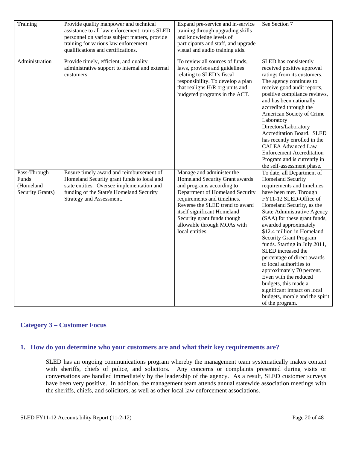| Training                                                      | Provide quality manpower and technical<br>assistance to all law enforcement; trains SLED<br>personnel on various subject matters, provide<br>training for various law enforcement<br>qualifications and certifications. | Expand pre-service and in-service<br>training through upgrading skills<br>and knowledge levels of<br>participants and staff, and upgrade<br>visual and audio training aids.                                                                                                                                   | See Section 7                                                                                                                                                                                                                                                                                                                                                                                                                                                                                                                                                                                                          |
|---------------------------------------------------------------|-------------------------------------------------------------------------------------------------------------------------------------------------------------------------------------------------------------------------|---------------------------------------------------------------------------------------------------------------------------------------------------------------------------------------------------------------------------------------------------------------------------------------------------------------|------------------------------------------------------------------------------------------------------------------------------------------------------------------------------------------------------------------------------------------------------------------------------------------------------------------------------------------------------------------------------------------------------------------------------------------------------------------------------------------------------------------------------------------------------------------------------------------------------------------------|
| Administration                                                | Provide timely, efficient, and quality<br>administrative support to internal and external<br>customers.                                                                                                                 | To review all sources of funds,<br>laws, provisos and guidelines<br>relating to SLED's fiscal<br>responsibility. To develop a plan<br>that realigns H/R org units and<br>budgeted programs in the ACT.                                                                                                        | SLED has consistently<br>received positive approval<br>ratings from its customers.<br>The agency continues to<br>receive good audit reports,<br>positive compliance reviews,<br>and has been nationally<br>accredited through the<br>American Society of Crime<br>Laboratory<br>Directors/Laboratory<br>Accreditation Board. SLED<br>has recently enrolled in the<br><b>CALEA Advanced Law</b><br><b>Enforcement Accreditation</b><br>Program and is currently in<br>the self-assessment phase.                                                                                                                        |
| Pass-Through<br>Funds<br>(Homeland<br><b>Security Grants)</b> | Ensure timely award and reimbursement of<br>Homeland Security grant funds to local and<br>state entities. Oversee implementation and<br>funding of the State's Homeland Security<br>Strategy and Assessment.            | Manage and administer the<br>Homeland Security Grant awards<br>and programs according to<br>Department of Homeland Security<br>requirements and timelines.<br>Reverse the SLED trend to award<br>itself significant Homeland<br>Security grant funds though<br>allowable through MOAs with<br>local entities. | To date, all Department of<br><b>Homeland Security</b><br>requirements and timelines<br>have been met. Through<br>FY11-12 SLED-Office of<br>Homeland Security, as the<br><b>State Administrative Agency</b><br>(SAA) for these grant funds,<br>awarded approximately<br>\$12.4 million in Homeland<br><b>Security Grant Program</b><br>funds. Starting in July 2011,<br>SLED increased the<br>percentage of direct awards<br>to local authorities to<br>approximately 70 percent.<br>Even with the reduced<br>budgets, this made a<br>significant impact on local<br>budgets, morale and the spirit<br>of the program. |

#### **Category 3 – Customer Focus**

#### **1. How do you determine who your customers are and what their key requirements are?**

SLED has an ongoing communications program whereby the management team systematically makes contact with sheriffs, chiefs of police, and solicitors. Any concerns or complaints presented during visits or conversations are handled immediately by the leadership of the agency. As a result, SLED customer surveys have been very positive. In addition, the management team attends annual statewide association meetings with the sheriffs, chiefs, and solicitors, as well as other local law enforcement associations.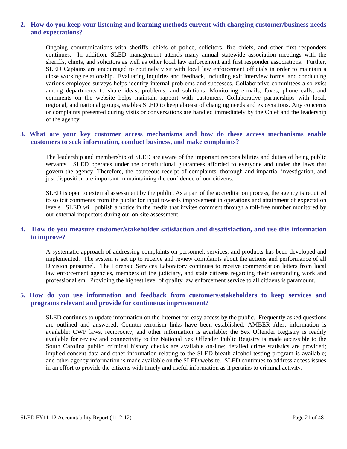#### **2. How do you keep your listening and learning methods current with changing customer/business needs and expectations?**

Ongoing communications with sheriffs, chiefs of police, solicitors, fire chiefs, and other first responders continues. In addition, SLED management attends many annual statewide association meetings with the sheriffs, chiefs, and solicitors as well as other local law enforcement and first responder associations. Further, SLED Captains are encouraged to routinely visit with local law enforcement officials in order to maintain a close working relationship. Evaluating inquiries and feedback, including exit Interview forms, and conducting various employee surveys helps identify internal problems and successes. Collaborative committees also exist among departments to share ideas, problems, and solutions. Monitoring e-mails, faxes, phone calls, and comments on the website helps maintain rapport with customers. Collaborative partnerships with local, regional, and national groups, enables SLED to keep abreast of changing needs and expectations. Any concerns or complaints presented during visits or conversations are handled immediately by the Chief and the leadership of the agency.

#### **3. What are your key customer access mechanisms and how do these access mechanisms enable customers to seek information, conduct business, and make complaints?**

The leadership and membership of SLED are aware of the important responsibilities and duties of being public servants. SLED operates under the constitutional guarantees afforded to everyone and under the laws that govern the agency. Therefore, the courteous receipt of complaints, thorough and impartial investigation, and just disposition are important in maintaining the confidence of our citizens.

SLED is open to external assessment by the public. As a part of the accreditation process, the agency is required to solicit comments from the public for input towards improvement in operations and attainment of expectation levels. SLED will publish a notice in the media that invites comment through a toll-free number monitored by our external inspectors during our on-site assessment.

#### **4. How do you measure customer/stakeholder satisfaction and dissatisfaction, and use this information to improve?**

A systematic approach of addressing complaints on personnel, services, and products has been developed and implemented. The system is set up to receive and review complaints about the actions and performance of all Division personnel. The Forensic Services Laboratory continues to receive commendation letters from local law enforcement agencies, members of the judiciary, and state citizens regarding their outstanding work and professionalism. Providing the highest level of quality law enforcement service to all citizens is paramount.

#### **5. How do you use information and feedback from customers/stakeholders to keep services and programs relevant and provide for continuous improvement?**

SLED continues to update information on the Internet for easy access by the public. Frequently asked questions are outlined and answered; Counter-terrorism links have been established; AMBER Alert information is available; CWP laws, reciprocity, and other information is available; the Sex Offender Registry is readily available for review and connectivity to the National Sex Offender Public Registry is made accessible to the South Carolina public; criminal history checks are available on-line; detailed crime statistics are provided; implied consent data and other information relating to the SLED breath alcohol testing program is available; and other agency information is made available on the SLED website. SLED continues to address access issues in an effort to provide the citizens with timely and useful information as it pertains to criminal activity.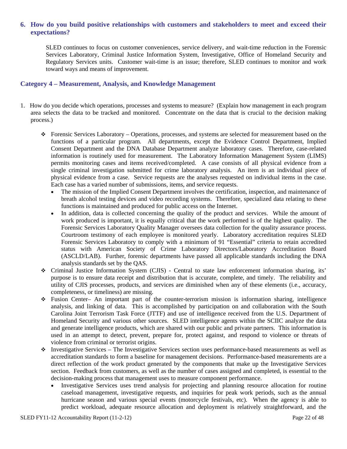#### **6. How do you build positive relationships with customers and stakeholders to meet and exceed their expectations?**

SLED continues to focus on customer conveniences, service delivery, and wait-time reduction in the Forensic Services Laboratory, Criminal Justice Information System, Investigative, Office of Homeland Security and Regulatory Services units. Customer wait-time is an issue; therefore, SLED continues to monitor and work toward ways and means of improvement.

#### **Category 4 – Measurement, Analysis, and Knowledge Management**

- 1. How do you decide which operations, processes and systems to measure? (Explain how management in each program area selects the data to be tracked and monitored. Concentrate on the data that is crucial to the decision making process.)
	- Forensic Services Laboratory Operations, processes, and systems are selected for measurement based on the functions of a particular program. All departments, except the Evidence Control Department, Implied Consent Department and the DNA Database Department analyze laboratory cases. Therefore, case-related information is routinely used for measurement. The Laboratory Information Management System (LIMS) permits monitoring cases and items received/completed. A case consists of all physical evidence from a single criminal investigation submitted for crime laboratory analysis. An item is an individual piece of physical evidence from a case. Service requests are the analyses requested on individual items in the case. Each case has a varied number of submissions, items, and service requests.
		- The mission of the Implied Consent Department involves the certification, inspection, and maintenance of breath alcohol testing devices and video recording systems. Therefore, specialized data relating to these functions is maintained and produced for public access on the Internet.
		- In addition, data is collected concerning the quality of the product and services. While the amount of work produced is important, it is equally critical that the work performed is of the highest quality. The Forensic Services Laboratory Quality Manager oversees data collection for the quality assurance process. Courtroom testimony of each employee is monitored yearly. Laboratory accreditation requires SLED Forensic Services Laboratory to comply with a minimum of 91 "Essential" criteria to retain accredited status with American Society of Crime Laboratory Directors/Laboratory Accreditation Board (ASCLD/LAB). Further, forensic departments have passed all applicable standards including the DNA analysis standards set by the QAS.
	- Criminal Justice Information System (CJIS) Central to state law enforcement information sharing, its' purpose is to ensure data receipt and distribution that is accurate, complete, and timely. The reliability and utility of CJIS processes, products, and services are diminished when any of these elements (i.e., accuracy, completeness, or timeliness) are missing.
	- Fusion Center– An important part of the counter-terrorism mission is information sharing, intelligence analysis, and linking of data. This is accomplished by participation on and collaboration with the South Carolina Joint Terrorism Task Force (JTTF) and use of intelligence received from the U.S. Department of Homeland Security and various other sources. SLED intelligence agents within the SCIIC analyze the data and generate intelligence products, which are shared with our public and private partners. This information is used in an attempt to detect, prevent, prepare for, protect against, and respond to violence or threats of violence from criminal or terrorist origins.
	- $\bullet$  Investigative Services The Investigative Services section uses performance-based measurements as well as accreditation standards to form a baseline for management decisions. Performance-based measurements are a direct reflection of the work product generated by the components that make up the Investigative Services section. Feedback from customers, as well as the number of cases assigned and completed, is essential to the decision-making process that management uses to measure component performance.
		- Investigative Services uses trend analysis for projecting and planning resource allocation for routine caseload management, investigative requests, and inquiries for peak work periods, such as the annual hurricane season and various special events (motorcycle festivals, etc). When the agency is able to predict workload, adequate resource allocation and deployment is relatively straightforward, and the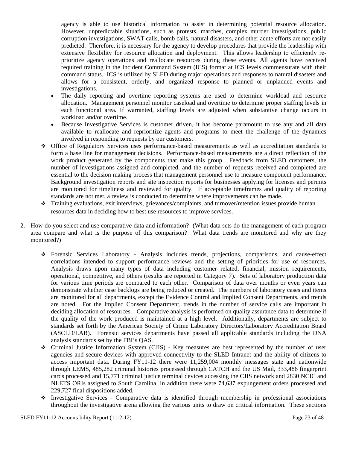agency is able to use historical information to assist in determining potential resource allocation. However, unpredictable situations, such as protests, marches, complex murder investigations, public corruption investigations, SWAT calls, bomb calls, natural disasters, and other acute efforts are not easily predicted. Therefore, it is necessary for the agency to develop procedures that provide the leadership with extensive flexibility for resource allocation and deployment. This allows leadership to efficiently reprioritize agency operations and reallocate resources during these events. All agents have received required training in the Incident Command System (ICS) format at ICS levels commensurate with their command status. ICS is utilized by SLED during major operations and responses to natural disasters and allows for a consistent, orderly, and organized response to planned or unplanned events and investigations.

- The daily reporting and overtime reporting systems are used to determine workload and resource allocation. Management personnel monitor caseload and overtime to determine proper staffing levels in each functional area. If warranted, staffing levels are adjusted when substantive change occurs in workload and/or overtime.
- Because Investigative Services is customer driven, it has become paramount to use any and all data available to reallocate and reprioritize agents and programs to meet the challenge of the dynamics involved in responding to requests by our customers.
- Office of Regulatory Services uses performance-based measurements as well as accreditation standards to form a base line for management decisions. Performance-based measurements are a direct reflection of the work product generated by the components that make this group. Feedback from SLED customers, the number of investigations assigned and completed, and the number of requests received and completed are essential to the decision making process that management personnel use to measure component performance. Background investigation reports and site inspection reports for businesses applying for licenses and permits are monitored for timeliness and reviewed for quality. If acceptable timeframes and quality of reporting standards are not met, a review is conducted to determine where improvements can be made.
- Training evaluations, exit interviews, grievances/complaints, and turnover/retention issues provide human resources data in deciding how to best use resources to improve services.
- 2. How do you select and use comparative data and information? (What data sets do the management of each program area compare and what is the purpose of this comparison? What data trends are monitored and why are they monitored?)
	- Forensic Services Laboratory Analysis includes trends, projections, comparisons, and cause-effect correlations intended to support performance reviews and the setting of priorities for use of resources. Analysis draws upon many types of data including customer related, financial, mission requirements, operational, competitive, and others (results are reported in Category 7). Sets of laboratory production data for various time periods are compared to each other. Comparison of data over months or even years can demonstrate whether case backlogs are being reduced or created. The numbers of laboratory cases and items are monitored for all departments, except the Evidence Control and Implied Consent Departments, and trends are noted. For the Implied Consent Department, trends in the number of service calls are important in deciding allocation of resources. Comparative analysis is performed on quality assurance data to determine if the quality of the work produced is maintained at a high level. Additionally, departments are subject to standards set forth by the American Society of Crime Laboratory Directors/Laboratory Accreditation Board (ASCLD/LAB). Forensic services departments have passed all applicable standards including the DNA analysis standards set by the FBI's QAS.
	- Criminal Justice Information System (CJIS) Key measures are best represented by the number of user agencies and secure devices with approved connectivity to the SLED Intranet and the ability of citizens to access important data. During FY11-12 there were 11,259,004 monthly messages state and nationwide through LEMS, 485,282 criminal histories processed through CATCH and the US Mail, 333,486 fingerprint cards processed and 15,771 criminal justice terminal devices accessing the CJIS network and 2830 NCIC and NLETS ORIs assigned to South Carolina. In addition there were 74,637 expungement orders processed and 229,727 final dispositions added.
	- $\cdot$  Investigative Services Comparative data is identified through membership in professional associations throughout the investigative arena allowing the various units to draw on critical information. These sections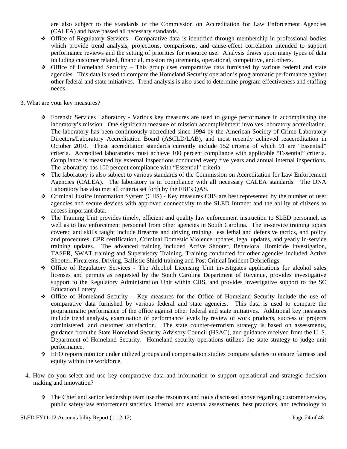are also subject to the standards of the Commission on Accreditation for Law Enforcement Agencies (CALEA) and have passed all necessary standards.

- Office of Regulatory Services Comparative data is identified through membership in professional bodies which provide trend analysis, projections, comparisons, and cause-effect correlation intended to support performance reviews and the setting of priorities for resource use. Analysis draws upon many types of data including customer related, financial, mission requirements, operational, competitive, and others.
- Office of Homeland Security This group uses comparative data furnished by various federal and state agencies. This data is used to compare the Homeland Security operation's programmatic performance against other federal and state initiatives. Trend analysis is also used to determine program effectiveness and staffing needs.
- 3. What are your key measures?
	- Forensic Services Laboratory Various key measures are used to gauge performance in accomplishing the laboratory's mission. One significant measure of mission accomplishment involves laboratory accreditation. The laboratory has been continuously accredited since 1994 by the American Society of Crime Laboratory Directors/Laboratory Accreditation Board (ASCLD/LAB), and most recently achieved reaccreditation in October 2010. These accreditation standards currently include 152 criteria of which 91 are "Essential" criteria. Accredited laboratories must achieve 100 percent compliance with applicable "Essential" criteria. Compliance is measured by external inspections conducted every five years and annual internal inspections. The laboratory has 100 percent compliance with "Essential" criteria.
	- The laboratory is also subject to various standards of the Commission on Accreditation for Law Enforcement Agencies (CALEA). The laboratory is in compliance with all necessary CALEA standards. The DNA Laboratory has also met all criteria set forth by the FBI's QAS.
	- Criminal Justice Information System (CJIS) Key measures CJIS are best represented by the number of user agencies and secure devices with approved connectivity to the SLED Intranet and the ability of citizens to access important data.
	- The Training Unit provides timely, efficient and quality law enforcement instruction to SLED personnel, as well as to law enforcement personnel from other agencies in South Carolina. The in-service training topics covered and skills taught include firearms and driving training, less lethal and defensive tactics, and policy and procedures, CPR certification, Criminal Domestic Violence updates, legal updates, and yearly in-service training updates. The advanced training included Active Shooter, Behavioral Homicide Investigation, TASER, SWAT training and Supervisory Training. Training conducted for other agencies included Active Shooter, Firearems, Driving, Ballistic Shield training and Post Critical Incident Debriefings.
	- Office of Regulatory Services The Alcohol Licensing Unit investigates applications for alcohol sales licenses and permits as requested by the South Carolina Department of Revenue, provides investigative support to the Regulatory Administration Unit within CJIS, and provides investigative support to the SC Education Lottery.
	- Office of Homeland Security Key measures for the Office of Homeland Security include the use of comparative data furnished by various federal and state agencies. This data is used to compare the programmatic performance of the office against other federal and state initiatives. Additional key measures include trend analysis, examination of performance levels by review of work products, success of projects administered, and customer satisfaction. The state counter-terrorism strategy is based on assessments, guidance from the State Homeland Security Advisory Council (HSAC), and guidance received from the U. S. Department of Homeland Security. Homeland security operations utilizes the state strategy to judge unit performance.
	- EEO reports monitor under utilized groups and compensation studies compare salaries to ensure fairness and equity within the workforce.
	- 4. How do you select and use key comparative data and information to support operational and strategic decision making and innovation?
		- The Chief and senior leadership team use the resources and tools discussed above regarding customer service, public safety/law enforcement statistics, internal and external assessments, best practices, and technology to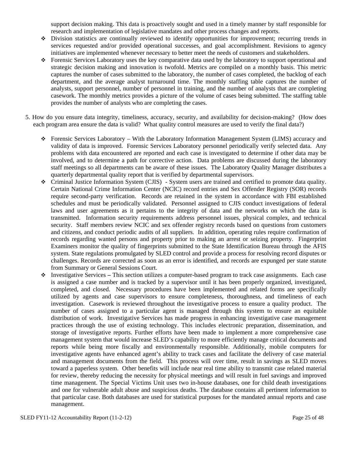support decision making. This data is proactively sought and used in a timely manner by staff responsible for research and implementation of legislative mandates and other process changes and reports.

- Division statistics are continually reviewed to identify opportunities for improvement; recurring trends in services requested and/or provided operational successes, and goal accomplishment. Revisions to agency initiatives are implemented whenever necessary to better meet the needs of customers and stakeholders.
- Forensic Services Laboratory uses the key comparative data used by the laboratory to support operational and strategic decision making and innovation is twofold. Metrics are compiled on a monthly basis. This metric captures the number of cases submitted to the laboratory, the number of cases completed, the backlog of each department, and the average analyst turnaround time. The monthly staffing table captures the number of analysts, support personnel, number of personnel in training, and the number of analysts that are completing casework. The monthly metrics provides a picture of the volume of cases being submitted. The staffing table provides the number of analysts who are completing the cases.
- 5. How do you ensure data integrity, timeliness, accuracy, security, and availability for decision-making? (How does each program area ensure the data is valid? What quality control measures are used to verify the final data?)
	- Forensic Services Laboratory With the Laboratory Information Management System (LIMS) accuracy and validity of data is improved. Forensic Services Laboratory personnel periodically verify selected data. Any problems with data encountered are reported and each case is investigated to determine if other data may be involved, and to determine a path for corrective action. Data problems are discussed during the laboratory staff meetings so all departments can be aware of these issues. The Laboratory Quality Manager distributes a quarterly departmental quality report that is verified by departmental supervisors.
	- Criminal Justice Information System (CJIS) System users are trained and certified to promote data quality. Certain National Crime Information Center (NCIC) record entries and Sex Offender Registry (SOR) records require second-party verification. Records are retained in the system in accordance with FBI established schedules and must be periodically validated. Personnel assigned to CJIS conduct investigations of federal laws and user agreements as it pertains to the integrity of data and the networks on which the data is transmitted. Information security requirements address personnel issues, physical complex, and technical security. Staff members review NCIC and sex offender registry records based on questions from customers and citizens, and conduct periodic audits of all suppliers. In addition, operating rules require confirmation of records regarding wanted persons and property prior to making an arrest or seizing property. Fingerprint Examiners monitor the quality of fingerprints submitted to the State Identification Bureau through the AFIS system. State regulations promulgated by SLED control and provide a process for resolving record disputes or challenges. Records are corrected as soon as an error is identified, and records are expunged per state statute from Summary or General Sessions Court.
	- Investigative Services This section utilizes a computer-based program to track case assignments. Each case is assigned a case number and is tracked by a supervisor until it has been properly organized, investigated, completed, and closed. Necessary procedures have been implemented and related forms are specifically utilized by agents and case supervisors to ensure completeness, thoroughness, and timeliness of each investigation. Casework is reviewed throughout the investigative process to ensure a quality product. The number of cases assigned to a particular agent is managed through this system to ensure an equitable distribution of work. Investigative Services has made progress in enhancing investigative case management practices through the use of existing technology. This includes electronic preparation, dissemination, and storage of investigative reports. Further efforts have been made to implement a more comprehensive case management system that would increase SLED's capability to more efficiently manage critical documents and reports while being more fiscally and environmentally responsible. Additionally, mobile computers for investigative agents have enhanced agent's ability to track cases and facilitate the delivery of case material and management documents from the field. This process will over time, result in savings as SLED moves toward a paperless system. Other benefits will include near real time ability to transmit case related material for review, thereby reducing the necessity for physical meetings and will result in fuel savings and improved time management. The Special Victims Unit uses two in-house databases, one for child death investigations and one for vulnerable adult abuse and suspicious deaths. The database contains all pertinent information to that particular case. Both databases are used for statistical purposes for the mandated annual reports and case management.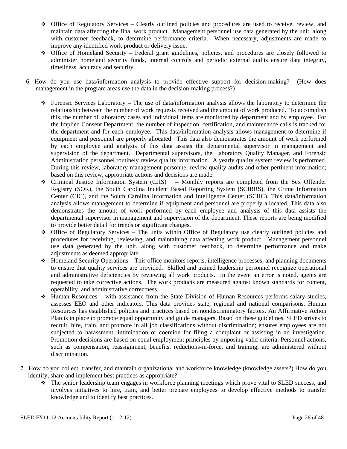- Office of Regulatory Services Clearly outlined policies and procedures are used to receive, review, and maintain data affecting the final work product. Management personnel use data generated by the unit, along with customer feedback, to determine performance criteria. When necessary, adjustments are made to improve any identified work product or delivery issue.
- Office of Homeland Security Federal grant guidelines, policies, and procedures are closely followed to administer homeland security funds, internal controls and periodic external audits ensure data integrity, timeliness, accuracy and security.
- 6. How do you use data/information analysis to provide effective support for decision-making? (How does management in the program areas use the data in the decision-making process?)
	- Forensic Services Laboratory The use of data/information analysis allows the laboratory to determine the relationship between the number of work requests received and the amount of work produced. To accomplish this, the number of laboratory cases and individual items are monitored by department and by employee. For the Implied Consent Department, the number of inspection, certification, and maintenance calls is tracked for the department and for each employee. This data/information analysis allows management to determine if equipment and personnel are properly allocated. This data also demonstrates the amount of work performed by each employee and analysis of this data assists the departmental supervisor in management and supervision of the department. Departmental supervisors, the Laboratory Quality Manager, and Forensic Administration personnel routinely review quality information. A yearly quality system review is performed. During this review, laboratory management personnel review quality audits and other pertinent information; based on this review, appropriate actions and decisions are made.
	- Criminal Justice Information System (CJIS) Monthly reports are completed from the Sex Offender Registry (SOR), the South Carolina Incident Based Reporting System (SCIBRS), the Crime Information Center (CIC), and the South Carolina Information and Intelligence Center (SCIIC). This data/information analysis allows management to determine if equipment and personnel are properly allocated. This data also demonstrates the amount of work performed by each employee and analysis of this data assists the departmental supervisor in management and supervision of the department. These reports are being modified to provide better detail for trends or significant changes.
	- Office of Regulatory Services The units within Office of Regulatory use clearly outlined policies and procedures for receiving, reviewing, and maintaining data affecting work product. Management personnel use data generated by the unit, along with customer feedback, to determine performance and make adjustments as deemed appropriate.
	- $\triangle$  Homeland Security Operations This office monitors reports, intelligence processes, and planning documents to ensure that quality services are provided. Skilled and trained leadership personnel recognize operational and administrative deficiencies by reviewing all work products. In the event an error is noted, agents are requested to take corrective actions. The work products are measured against known standards for content, operability, and administrative correctness.
	- Human Resources with assistance from the State Division of Human Resources performs salary studies, assesses EEO and other indicators. This data provides state, regional and national comparisons. Human Resources has established policies and practices based on nondiscriminatory factors. An Affirmative Action Plan is in place to promote equal opportunity and guide managers. Based on these guidelines, SLED strives to recruit, hire, train, and promote in all job classifications without discrimination; ensures employees are not subjected to harassment, intimidation or coercion for filing a complaint or assisting in an investigation. Promotion decisions are based on equal employment principles by imposing valid criteria. Personnel actions, such as compensation, reassignment, benefits, reductions-in-force, and training, are administered without discrimination.
- 7. How do you collect, transfer, and maintain organizational and workforce knowledge (knowledge assets?) How do you identify, share and implement best practices as appropriate?
	- The senior leadership team engages in workforce planning meetings which prove vital to SLED success, and involves initiatives to hire, train, and better prepare employees to develop effective methods to transfer knowledge and to identify best practices.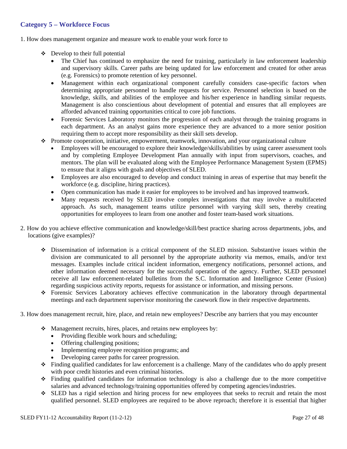#### **Category 5 – Workforce Focus**

1. How does management organize and measure work to enable your work force to

- $\div$  Develop to their full potential
	- The Chief has continued to emphasize the need for training, particularly in law enforcement leadership and supervisory skills. Career paths are being updated for law enforcement and created for other areas (e.g. Forensics) to promote retention of key personnel.
	- Management within each organizational component carefully considers case-specific factors when determining appropriate personnel to handle requests for service. Personnel selection is based on the knowledge, skills, and abilities of the employee and his/her experience in handling similar requests. Management is also conscientious about development of potential and ensures that all employees are afforded advanced training opportunities critical to core job functions.
	- Forensic Services Laboratory monitors the progression of each analyst through the training programs in each department. As an analyst gains more experience they are advanced to a more senior position requiring them to accept more responsibility as their skill sets develop.
- $\div$  Promote cooperation, initiative, empowerment, teamwork, innovation, and your organizational culture
	- Employees will be encouraged to explore their knowledge/skills/abilities by using career assessment tools and by completing Employee Development Plan annually with input from supervisors, coaches, and mentors. The plan will be evaluated along with the Employee Performance Management System (EPMS) to ensure that it aligns with goals and objectives of SLED.
	- Employees are also encouraged to develop and conduct training in areas of expertise that may benefit the workforce (e.g. discipline, hiring practices).
	- Open communication has made it easier for employees to be involved and has improved teamwork.
	- Many requests received by SLED involve complex investigations that may involve a multifaceted approach. As such, management teams utilize personnel with varying skill sets, thereby creating opportunities for employees to learn from one another and foster team-based work situations.
- 2. How do you achieve effective communication and knowledge/skill/best practice sharing across departments, jobs, and locations (give examples)?
	- Dissemination of information is a critical component of the SLED mission. Substantive issues within the division are communicated to all personnel by the appropriate authority via memos, emails, and/or text messages. Examples include critical incident information, emergency notifications, personnel actions, and other information deemed necessary for the successful operation of the agency. Further, SLED personnel receive all law enforcement-related bulletins from the S.C. Information and Intelligence Center (Fusion) regarding suspicious activity reports, requests for assistance or information, and missing persons.
	- Forensic Services Laboratory achieves effective communication in the laboratory through departmental meetings and each department supervisor monitoring the casework flow in their respective departments.
- 3. How does management recruit, hire, place, and retain new employees? Describe any barriers that you may encounter
	- Management recruits, hires, places, and retains new employees by:
		- Providing flexible work hours and scheduling;
		- Offering challenging positions;
		- Implementing employee recognition programs; and
		- Developing career paths for career progression.
	- Finding qualified candidates for law enforcement is a challenge. Many of the candidates who do apply present with poor credit histories and even criminal histories.
	- Finding qualified candidates for information technology is also a challenge due to the more competitive salaries and advanced technology/training opportunities offered by competing agencies/industries.
	- SLED has a rigid selection and hiring process for new employees that seeks to recruit and retain the most qualified personnel. SLED employees are required to be above reproach; therefore it is essential that higher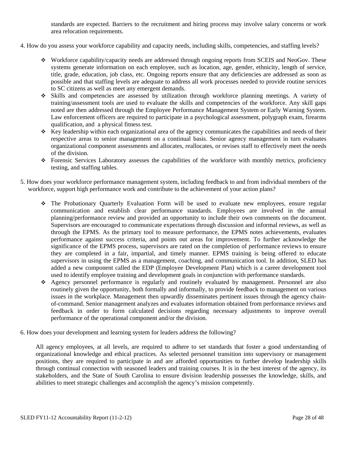standards are expected. Barriers to the recruitment and hiring process may involve salary concerns or work area relocation requirements.

- 4. How do you assess your workforce capability and capacity needs, including skills, competencies, and staffing levels?
	- Workforce capability/capacity needs are addressed through ongoing reports from SCEIS and NeoGov. These systems generate information on each employee, such as location, age, gender, ethnicity, length of service, title, grade, education, job class, etc. Ongoing reports ensure that any deficiencies are addressed as soon as possible and that staffing levels are adequate to address all work processes needed to provide routine services to SC citizens as well as meet any emergent demands.
	- Skills and competencies are assessed by utilization through workforce planning meetings. A variety of training/assessment tools are used to evaluate the skills and competencies of the workforce. Any skill gaps noted are then addressed through the Employee Performance Management System or Early Warning System. Law enforcement officers are required to participate in a psychological assessment, polygraph exam, firearms qualification, and a physical fitness test.
	- $\bullet$  Key leadership within each organizational area of the agency communicates the capabilities and needs of their respective areas to senior management on a continual basis. Senior agency management in turn evaluates organizational component assessments and allocates, reallocates, or revises staff to effectively meet the needs of the division.
	- Forensic Services Laboratory assesses the capabilities of the workforce with monthly metrics, proficiency testing, and staffing tables.
- 5. How does your workforce performance management system, including feedback to and from individual members of the workforce, support high performance work and contribute to the achievement of your action plans?
	- The Probationary Quarterly Evaluation Form will be used to evaluate new employees, ensure regular communication and establish clear performance standards. Employees are involved in the annual planning/performance review and provided an opportunity to include their own comments on the document. Supervisors are encouraged to communicate expectations through discussion and informal reviews, as well as through the EPMS. As the primary tool to measure performance, the EPMS notes achievements, evaluates performance against success criteria, and points out areas for improvement. To further acknowledge the significance of the EPMS process, supervisors are rated on the completion of performance reviews to ensure they are completed in a fair, impartial, and timely manner. EPMS training is being offered to educate supervisors in using the EPMS as a management, coaching, and communication tool. In addition, SLED has added a new component called the EDP (Employee Development Plan) which is a career development tool used to identify employee training and development goals in conjunction with performance standards.
	- Agency personnel performance is regularly and routinely evaluated by management. Personnel are also routinely given the opportunity, both formally and informally, to provide feedback to management on various issues in the workplace. Management then upwardly disseminates pertinent issues through the agency chainof-command. Senior management analyzes and evaluates information obtained from performance reviews and feedback in order to form calculated decisions regarding necessary adjustments to improve overall performance of the operational component and/or the division.
- 6. How does your development and learning system for leaders address the following?

All agency employees, at all levels, are required to adhere to set standards that foster a good understanding of organizational knowledge and ethical practices. As selected personnel transition into supervisory or management positions, they are required to participate in and are afforded opportunities to further develop leadership skills through continual connection with seasoned leaders and training courses. It is in the best interest of the agency, its stakeholders, and the State of South Carolina to ensure division leadership possesses the knowledge, skills, and abilities to meet strategic challenges and accomplish the agency's mission competently.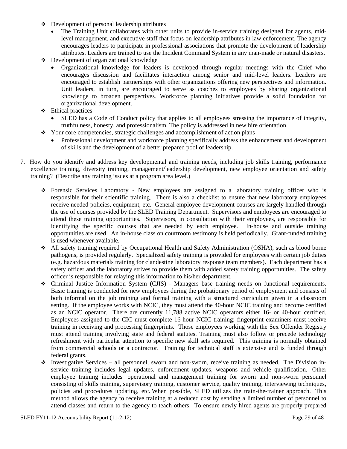- Development of personal leadership attributes
	- The Training Unit collaborates with other units to provide in-service training designed for agents, midlevel management, and executive staff that focus on leadership attributes in law enforcement. The agency encourages leaders to participate in professional associations that promote the development of leadership attributes. Leaders are trained to use the Incident Command System in any man-made or natural disasters.
- Development of organizational knowledge
	- Organizational knowledge for leaders is developed through regular meetings with the Chief who encourages discussion and facilitates interaction among senior and mid-level leaders. Leaders are encouraged to establish partnerships with other organizations offering new perspectives and information. Unit leaders, in turn, are encouraged to serve as coaches to employees by sharing organizational knowledge to broaden perspectives. Workforce planning initiatives provide a solid foundation for organizational development.
- $\div$  Ethical practices
	- SLED has a Code of Conduct policy that applies to all employees stressing the importance of integrity, truthfulness, honesty, and professionalism. The policy is addressed in new hire orientation.
- Your core competencies, strategic challenges and accomplishment of action plans
	- Professional development and workforce planning specifically address the enhancement and development of skills and the development of a better prepared pool of leadership.
- 7. How do you identify and address key developmental and training needs, including job skills training, performance excellence training, diversity training, management/leadership development, new employee orientation and safety training? (Describe any training issues at a program area level.)
	- Forensic Services Laboratory New employees are assigned to a laboratory training officer who is responsible for their scientific training. There is also a checklist to ensure that new laboratory employees receive needed policies, equipment, etc. General employee development courses are largely handled through the use of courses provided by the SLED Training Department. Supervisors and employees are encouraged to attend these training opportunities. Supervisors, in consultation with their employees, are responsible for identifying the specific courses that are needed by each employee. In-house and outside training opportunities are used. An in-house class on courtroom testimony is held periodically. Grant-funded training is used whenever available.
	- All safety training required by Occupational Health and Safety Administration (OSHA), such as blood borne pathogens, is provided regularly. Specialized safety training is provided for employees with certain job duties (e.g. hazardous materials training for clandestine laboratory response team members). Each department has a safety officer and the laboratory strives to provide them with added safety training opportunities. The safety officer is responsible for relaying this information to his/her department.
	- Criminal Justice Information System (CJIS) Managers base training needs on functional requirements. Basic training is conducted for new employees during the probationary period of employment and consists of both informal on the job training and formal training with a structured curriculum given in a classroom setting. If the employee works with NCIC, they must attend the 40-hour NCIC training and become certified as an NCIC operator. There are currently 11,788 active NCIC operators either 16- or 40-hour certified. Employees assigned to the CIC must complete 16-hour NCIC training; fingerprint examiners must receive training in receiving and processing fingerprints. Those employees working with the Sex Offender Registry must attend training involving state and federal statutes. Training must also follow or precede technology refreshment with particular attention to specific new skill sets required. This training is normally obtained from commercial schools or a contractor. Training for technical staff is extensive and is funded through federal grants.
	- $\bullet$  Investigative Services all personnel, sworn and non-sworn, receive training as needed. The Division inservice training includes legal updates, enforcement updates, weapons and vehicle qualification. Other employee training includes operational and management training for sworn and non-sworn personnel consisting of skills training, supervisory training, customer service, quality training, interviewing techniques, policies and procedures updating, etc. When possible, SLED utilizes the train-the-trainer approach. This method allows the agency to receive training at a reduced cost by sending a limited number of personnel to attend classes and return to the agency to teach others. To ensure newly hired agents are properly prepared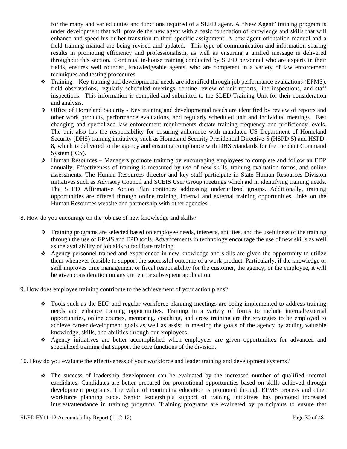for the many and varied duties and functions required of a SLED agent. A "New Agent" training program is under development that will provide the new agent with a basic foundation of knowledge and skills that will enhance and speed his or her transition to their specific assignment. A new agent orientation manual and a field training manual are being revised and updated. This type of communication and information sharing results in promoting efficiency and professionalism, as well as ensuring a unified message is delivered throughout this section. Continual in-house training conducted by SLED personnel who are experts in their fields, ensures well rounded, knowledgeable agents, who are competent in a variety of law enforcement techniques and testing procedures.

- Training Key training and developmental needs are identified through job performance evaluations (EPMS), field observations, regularly scheduled meetings, routine review of unit reports, line inspections, and staff inspections. This information is compiled and submitted to the SLED Training Unit for their consideration and analysis.
- Office of Homeland Security Key training and developmental needs are identified by review of reports and other work products, performance evaluations, and regularly scheduled unit and individual meetings. Fast changing and specialized law enforcement requirements dictate training frequency and proficiency levels. The unit also has the responsibility for ensuring adherence with mandated US Department of Homeland Security (DHS) training initiatives, such as Homeland Security Presidential Directive-5 (HSPD-5) and HSPD-8, which is delivered to the agency and ensuring compliance with DHS Standards for the Incident Command System (ICS).
- $\div$  Human Resources Managers promote training by encouraging employees to complete and follow an EDP annually. Effectiveness of training is measured by use of new skills, training evaluation forms, and online assessments. The Human Resources director and key staff participate in State Human Resources Division initiatives such as Advisory Council and SCEIS User Group meetings which aid in identifying training needs. The SLED Affirmative Action Plan continues addressing underutilized groups. Additionally, training opportunities are offered through online training, internal and external training opportunities, links on the Human Resources website and partnership with other agencies.

8. How do you encourage on the job use of new knowledge and skills?

- Training programs are selected based on employee needs, interests, abilities, and the usefulness of the training through the use of EPMS and EPD tools. Advancements in technology encourage the use of new skills as well as the availability of job aids to facilitate training.
- Agency personnel trained and experienced in new knowledge and skills are given the opportunity to utilize them whenever feasible to support the successful outcome of a work product. Particularly, if the knowledge or skill improves time management or fiscal responsibility for the customer, the agency, or the employee, it will be given consideration on any current or subsequent application.

9. How does employee training contribute to the achievement of your action plans?

- Tools such as the EDP and regular workforce planning meetings are being implemented to address training needs and enhance training opportunities. Training in a variety of forms to include internal/external opportunities, online courses, mentoring, coaching, and cross training are the strategies to be employed to achieve career development goals as well as assist in meeting the goals of the agency by adding valuable knowledge, skills, and abilities through our employees.
- Agency initiatives are better accomplished when employees are given opportunities for advanced and specialized training that support the core functions of the division.

10. How do you evaluate the effectiveness of your workforce and leader training and development systems?

 The success of leadership development can be evaluated by the increased number of qualified internal candidates. Candidates are better prepared for promotional opportunities based on skills achieved through development programs. The value of continuing education is promoted through EPMS process and other workforce planning tools. Senior leadership's support of training initiatives has promoted increased interest/attendance in training programs. Training programs are evaluated by participants to ensure that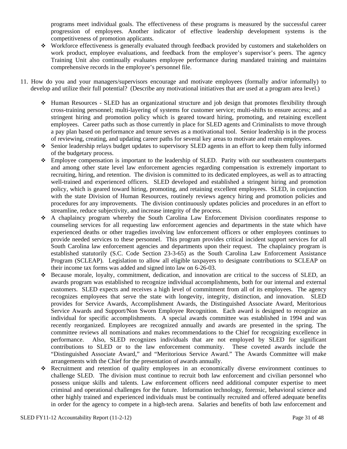programs meet individual goals. The effectiveness of these programs is measured by the successful career progression of employees. Another indicator of effective leadership development systems is the competitiveness of promotion applicants.

- Workforce effectiveness is generally evaluated through feedback provided by customers and stakeholders on work product, employee evaluations, and feedback from the employee's supervisor's peers. The agency Training Unit also continually evaluates employee performance during mandated training and maintains comprehensive records in the employee's personnel file.
- 11. How do you and your managers/supervisors encourage and motivate employees (formally and/or informally) to develop and utilize their full potential? (Describe any motivational initiatives that are used at a program area level.)
	- Human Resources SLED has an organizational structure and job design that promotes flexibility through cross-training personnel; multi-layering of systems for customer service; multi-shifts to ensure access; and a stringent hiring and promotion policy which is geared toward hiring, promoting, and retaining excellent employees. Career paths such as those currently in place for SLED agents and Criminalists to move through a pay plan based on performance and tenure serves as a motivational tool. Senior leadership is in the process of reviewing, creating, and updating career paths for several key areas to motivate and retain employees.
	- Senior leadership relays budget updates to supervisory SLED agents in an effort to keep them fully informed of the budgetary process.
	- Employee compensation is important to the leadership of SLED. Parity with our southeastern counterparts and among other state level law enforcement agencies regarding compensation is extremely important to recruiting, hiring, and retention. The division is committed to its dedicated employees, as well as to attracting well-trained and experienced officers. SLED developed and established a stringent hiring and promotion policy, which is geared toward hiring, promoting, and retaining excellent employees. SLED, in conjunction with the state Division of Human Resources, routinely reviews agency hiring and promotion policies and procedures for any improvements. The division continuously updates policies and procedures in an effort to streamline, reduce subjectivity, and increase integrity of the process.
	- A chaplaincy program whereby the South Carolina Law Enforcement Division coordinates response to counseling services for all requesting law enforcement agencies and departments in the state which have experienced deaths or other tragedies involving law enforcement officers or other employees continues to provide needed services to these personnel. This program provides critical incident support services for all South Carolina law enforcement agencies and departments upon their request. The chaplaincy program is established statutorily (S.C. Code Section 23-3-65) as the South Carolina Law Enforcement Assistance Program (SCLEAP). Legislation to allow all eligible taxpayers to designate contributions to SCLEAP on their income tax forms was added and signed into law on 6-26-03.
	- Because morale, loyalty, commitment, dedication, and innovation are critical to the success of SLED, an awards program was established to recognize individual accomplishments, both for our internal and external customers. SLED expects and receives a high level of commitment from all of its employees. The agency recognizes employees that serve the state with longevity, integrity, distinction, and innovation. SLED provides for Service Awards, Accomplishment Awards, the Distinguished Associate Award, Meritorious Service Awards and Support/Non Sworn Employee Recognition. Each award is designed to recognize an individual for specific accomplishments. A special awards committee was established in 1994 and was recently reorganized. Employees are recognized annually and awards are presented in the spring. The committee reviews all nominations and makes recommendations to the Chief for recognizing excellence in performance. Also, SLED recognizes individuals that are not employed by SLED for significant contributions to SLED or to the law enforcement community. These coveted awards include the "Distinguished Associate Award," and "Meritorious Service Award." The Awards Committee will make arrangements with the Chief for the presentation of awards annually.
	- Recruitment and retention of quality employees in an economically diverse environment continues to challenge SLED. The division must continue to recruit both law enforcement and civilian personnel who possess unique skills and talents. Law enforcement officers need additional computer expertise to meet criminal and operational challenges for the future. Information technology, forensic, behavioral science and other highly trained and experienced individuals must be continually recruited and offered adequate benefits in order for the agency to compete in a high-tech arena. Salaries and benefits of both law enforcement and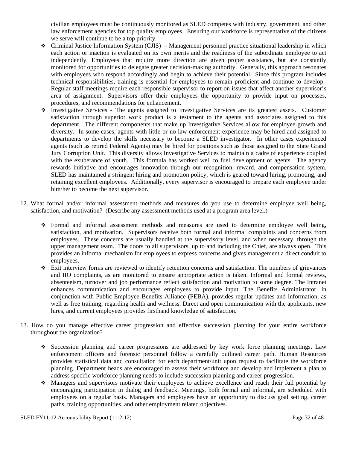civilian employees must be continuously monitored as SLED competes with industry, government, and other law enforcement agencies for top quality employees. Ensuring our workforce is representative of the citizens we serve will continue to be a top priority.

- Criminal Justice Information System (CJIS) Management personnel practice situational leadership in which each action or inaction is evaluated on its own merits and the readiness of the subordinate employee to act independently. Employees that require more direction are given proper assistance, but are constantly monitored for opportunities to delegate greater decision-making authority. Generally, this approach resonates with employees who respond accordingly and begin to achieve their potential. Since this program includes technical responsibilities, training is essential for employees to remain proficient and continue to develop. Regular staff meetings require each responsible supervisor to report on issues that affect another supervisor's area of assignment. Supervisors offer their employees the opportunity to provide input on processes, procedures, and recommendations for enhancement.
- Investigative Services The agents assigned to Investigative Services are its greatest assets. Customer satisfaction through superior work product is a testament to the agents and associates assigned to this department. The different components that make up Investigative Services allow for employee growth and diversity. In some cases, agents with little or no law enforcement experience may be hired and assigned to departments to develop the skills necessary to become a SLED investigator. In other cases experienced agents (such as retired Federal Agents) may be hired for positions such as those assigned to the State Grand Jury Corruption Unit. This diversity allows Investigative Services to maintain a cadre of experience coupled with the exuberance of youth. This formula has worked well to fuel development of agents. The agency rewards initiative and encourages innovation through our recognition, reward, and compensation system. SLED has maintained a stringent hiring and promotion policy, which is geared toward hiring, promoting, and retaining excellent employees. Additionally, every supervisor is encouraged to prepare each employee under him/her to become the next supervisor.
- 12. What formal and/or informal assessment methods and measures do you use to determine employee well being, satisfaction, and motivation? (Describe any assessment methods used at a program area level.)
	- Formal and informal assessment methods and measures are used to determine employee well being, satisfaction, and motivation. Supervisors receive both formal and informal complaints and concerns from employees. These concerns are usually handled at the supervisory level, and when necessary, through the upper management team. The doors to all supervisors, up to and including the Chief, are always open. This provides an informal mechanism for employees to express concerns and gives management a direct conduit to employees.
	- Exit interview forms are reviewed to identify retention concerns and satisfaction. The numbers of grievances and IIO complaints, as are monitored to ensure appropriate action is taken. Informal and formal reviews, absenteeism, turnover and job performance reflect satisfaction and motivation to some degree. The Intranet enhances communication and encourages employees to provide input. The Benefits Administrator, in conjunction with Public Employee Benefits Alliance (PEBA), provides regular updates and information, as well as free training, regarding health and wellness. Direct and open communication with the applicants, new hires, and current employees provides firsthand knowledge of satisfaction.
- 13. How do you manage effective career progression and effective succession planning for your entire workforce throughout the organization?
	- Succession planning and career progressions are addressed by key work force planning meetings. Law enforcement officers and forensic personnel follow a carefully outlined career path. Human Resources provides statistical data and consultation for each department/unit upon request to facilitate the workforce planning. Department heads are encouraged to assess their workforce and develop and implement a plan to address specific workforce planning needs to include succession planning and career progression.
	- Managers and supervisors motivate their employees to achieve excellence and reach their full potential by encouraging participation in dialog and feedback. Meetings, both formal and informal, are scheduled with employees on a regular basis. Managers and employees have an opportunity to discuss goal setting, career paths, training opportunities, and other employment related objectives.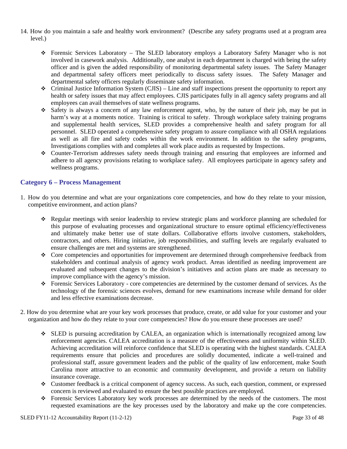- 14. How do you maintain a safe and healthy work environment? (Describe any safety programs used at a program area level.)
	- Forensic Services Laboratory The SLED laboratory employs a Laboratory Safety Manager who is not involved in casework analysis. Additionally, one analyst in each department is charged with being the safety officer and is given the added responsibility of monitoring departmental safety issues. The Safety Manager and departmental safety officers meet periodically to discuss safety issues. The Safety Manager and departmental safety officers regularly disseminate safety information.
	- $\bullet$  Criminal Justice Information System (CJIS) Line and staff inspections present the opportunity to report any health or safety issues that may affect employees. CJIS participates fully in all agency safety programs and all employees can avail themselves of state wellness programs.
	- Safety is always a concern of any law enforcement agent, who, by the nature of their job, may be put in harm's way at a moments notice. Training is critical to safety. Through workplace safety training programs and supplemental health services, SLED provides a comprehensive health and safety program for all personnel. SLED operated a comprehensive safety program to assure compliance with all OSHA regulations as well as all fire and safety codes within the work environment. In addition to the safety programs, Investigations complies with and completes all work place audits as requested by Inspections.
	- Counter-Terrorism addresses safety needs through training and ensuring that employees are informed and adhere to all agency provisions relating to workplace safety. All employees participate in agency safety and wellness programs.

#### **Category 6 – Process Management**

- 1. How do you determine and what are your organizations core competencies, and how do they relate to your mission, competitive environment, and action plans?
	- Regular meetings with senior leadership to review strategic plans and workforce planning are scheduled for this purpose of evaluating processes and organizational structure to ensure optimal efficiency/effectiveness and ultimately make better use of state dollars. Collaborative efforts involve customers, stakeholders, contractors, and others. Hiring initiative, job responsibilities, and staffing levels are regularly evaluated to ensure challenges are met and systems are strengthened.
	- Core competencies and opportunities for improvement are determined through comprehensive feedback from stakeholders and continual analysis of agency work product. Areas identified as needing improvement are evaluated and subsequent changes to the division's initiatives and action plans are made as necessary to improve compliance with the agency's mission.
	- Forensic Services Laboratory core competencies are determined by the customer demand of services. As the technology of the forensic sciences evolves, demand for new examinations increase while demand for older and less effective examinations decrease.
- 2. How do you determine what are your key work processes that produce, create, or add value for your customer and your organization and how do they relate to your core competencies? How do you ensure these processes are used?
	- SLED is pursuing accreditation by CALEA, an organization which is internationally recognized among law enforcement agencies. CALEA accreditation is a measure of the effectiveness and uniformity within SLED. Achieving accreditation will reinforce confidence that SLED is operating with the highest standards. CALEA requirements ensure that policies and procedures are solidly documented, indicate a well-trained and professional staff, assure government leaders and the public of the quality of law enforcement, make South Carolina more attractive to an economic and community development, and provide a return on liability insurance coverage.
	- Customer feedback is a critical component of agency success. As such, each question, comment, or expressed concern is reviewed and evaluated to ensure the best possible practices are employed.
	- Forensic Services Laboratory key work processes are determined by the needs of the customers. The most requested examinations are the key processes used by the laboratory and make up the core competencies.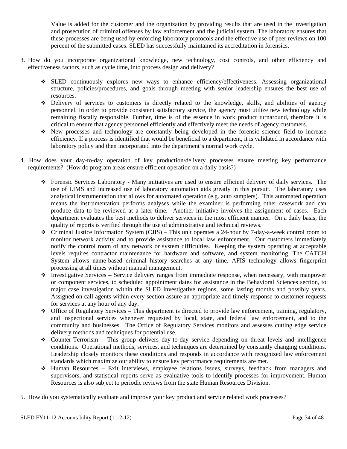Value is added for the customer and the organization by providing results that are used in the investigation and prosecution of criminal offenses by law enforcement and the judicial system. The laboratory ensures that these processes are being used by enforcing laboratory protocols and the effective use of peer reviews on 100 percent of the submitted cases. SLED has successfully maintained its accreditation in forensics.

- 3. How do you incorporate organizational knowledge, new technology, cost controls, and other efficiency and effectiveness factors, such as cycle time, into process design and delivery?
	- SLED continuously explores new ways to enhance efficiency/effectiveness. Assessing organizational structure, policies/procedures, and goals through meeting with senior leadership ensures the best use of resources.
	- Delivery of services to customers is directly related to the knowledge, skills, and abilities of agency personnel. In order to provide consistent satisfactory service, the agency must utilize new technology while remaining fiscally responsible. Further, time is of the essence in work product turnaround, therefore it is critical to ensure that agency personnel efficiently and effectively meet the needs of agency customers.
	- New processes and technology are constantly being developed in the forensic science field to increase efficiency. If a process is identified that would be beneficial to a department, it is validated in accordance with laboratory policy and then incorporated into the department's normal work cycle.
- 4. How does your day-to-day operation of key production/delivery processes ensure meeting key performance requirements? (How do program areas ensure efficient operation on a daily basis?)
	- Forensic Services Laboratory Many initiatives are used to ensure efficient delivery of daily services. The use of LIMS and increased use of laboratory automation aids greatly in this pursuit. The laboratory uses analytical instrumentation that allows for automated operation (e.g. auto samplers). This automated operation means the instrumentation performs analyses while the examiner is performing other casework and can produce data to be reviewed at a later time. Another initiative involves the assignment of cases. Each department evaluates the best methods to deliver services in the most efficient manner. On a daily basis, the quality of reports is verified through the use of administrative and technical reviews.
	- $\bullet$  Criminal Justice Information System (CJIS) This unit operates a 24-hour by 7-day-a-week control room to monitor network activity and to provide assistance to local law enforcement. Our customers immediately notify the control room of any network or system difficulties. Keeping the system operating at acceptable levels requires contractor maintenance for hardware and software, and system monitoring. The CATCH System allows name-based criminal history searches at any time. AFIS technology allows fingerprint processing at all times without manual management.
	- $\bullet$  Investigative Services Service delivery ranges from immediate response, when necessary, with manpower or component services, to scheduled appointment dates for assistance in the Behavioral Sciences section, to major case investigation within the SLED investigative regions, some lasting months and possibly years. Assigned on call agents within every section assure an appropriate and timely response to customer requests for services at any hour of any day.
	- Office of Regulatory Services This department is directed to provide law enforcement, training, regulatory, and inspectional services whenever requested by local, state, and federal law enforcement, and to the community and businesses. The Office of Regulatory Services monitors and assesses cutting edge service delivery methods and techniques for potential use.
	- $\bullet$  Counter-Terrorism This group delivers day-to-day service depending on threat levels and intelligence conditions. Operational methods, services, and techniques are determined by constantly changing conditions. Leadership closely monitors these conditions and responds in accordance with recognized law enforcement standards which maximize our ability to ensure key performance requirements are met.
	- Human Resources Exit interviews, employee relations issues, surveys, feedback from managers and supervisors, and statistical reports serve as evaluative tools to identify processes for improvement. Human Resources is also subject to periodic reviews from the state Human Resources Division.
- 5. How do you systematically evaluate and improve your key product and service related work processes?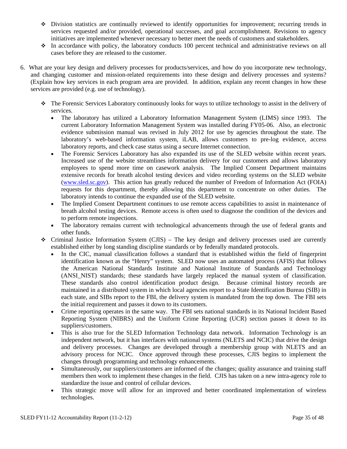- Division statistics are continually reviewed to identify opportunities for improvement; recurring trends in services requested and/or provided, operational successes, and goal accomplishment. Revisions to agency initiatives are implemented whenever necessary to better meet the needs of customers and stakeholders.
- $\cdot$  In accordance with policy, the laboratory conducts 100 percent technical and administrative reviews on all cases before they are released to the customer.
- 6. What are your key design and delivery processes for products/services, and how do you incorporate new technology, and changing customer and mission-related requirements into these design and delivery processes and systems? (Explain how key services in each program area are provided. In addition, explain any recent changes in how these services are provided (e.g. use of technology).
	- The Forensic Services Laboratory continuously looks for ways to utilize technology to assist in the delivery of services.
		- The laboratory has utilized a Laboratory Information Management System (LIMS) since 1993. The current Laboratory Information Management System was installed during FY05-06. Also, an electronic evidence submission manual was revised in July 2012 for use by agencies throughout the state. The laboratory's web-based information system, iLAB, allows customers to pre-log evidence, access laboratory reports, and check case status using a secure Internet connection.
		- The Forensic Services Laboratory has also expanded its use of the SLED website within recent years. Increased use of the website streamlines information delivery for our customers and allows laboratory employees to spend more time on casework analysis. The Implied Consent Department maintains extensive records for breath alcohol testing devices and video recording systems on the SLED website ([www.sled.sc.gov](http://www.sled.sc.gov/)). This action has greatly reduced the number of Freedom of Information Act (FOIA) requests for this department, thereby allowing this department to concentrate on other duties. The laboratory intends to continue the expanded use of the SLED website.
		- The Implied Consent Department continues to use remote access capabilities to assist in maintenance of breath alcohol testing devices. Remote access is often used to diagnose the condition of the devices and to perform remote inspections.
		- The laboratory remains current with technological advancements through the use of federal grants and other funds.
	- $\div$  Criminal Justice Information System (CJIS) The key design and delivery processes used are currently established either by long standing discipline standards or by federally mandated protocols.
		- In the CIC, manual classification follows a standard that is established within the field of fingerprint identification known as the "Henry" system. SLED now uses an automated process (AFIS) that follows the American National Standards Institute and National Institute of Standards and Technology (ANSI\_NIST) standards; these standards have largely replaced the manual system of classification. These standards also control identification product design. Because criminal history records are maintained in a distributed system in which local agencies report to a State Identification Bureau (SIB) in each state, and SIBs report to the FBI, the delivery system is mandated from the top down. The FBI sets the initial requirement and passes it down to its customers.
		- Crime reporting operates in the same way. The FBI sets national standards in its National Incident Based Reporting System (NIBRS) and the Uniform Crime Reporting (UCR) section passes it down to its suppliers/customers.
		- This is also true for the SLED Information Technology data network. Information Technology is an independent network, but it has interfaces with national systems (NLETS and NCIC) that drive the design and delivery processes. Changes are developed through a membership group with NLETS and an advisory process for NCIC. Once approved through these processes, CJIS begins to implement the changes through programming and technology enhancements.
		- Simultaneously, our suppliers/customers are informed of the changes; quality assurance and training staff members then work to implement these changes in the field. CJIS has taken on a new intra-agency role to standardize the issue and control of cellular devices.
		- This strategic move will allow for an improved and better coordinated implementation of wireless technologies.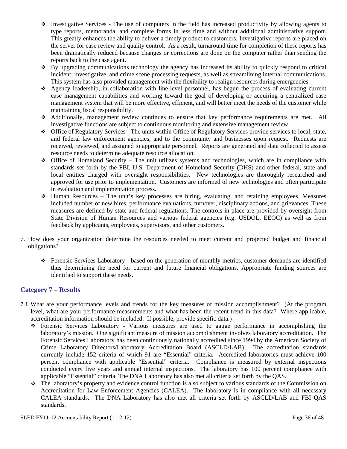- $\bullet$  Investigative Services The use of computers in the field has increased productivity by allowing agents to type reports, memoranda, and complete forms in less time and without additional administrative support. This greatly enhances the ability to deliver a timely product to customers. Investigative reports are placed on the server for case review and quality control. As a result, turnaround time for completion of these reports has been dramatically reduced because changes or corrections are done on the computer rather than sending the reports back to the case agent.
- $\bullet$  By upgrading communications technology the agency has increased its ability to quickly respond to critical incident, investigative, and crime scene processing requests, as well as streamlining internal communications. This system has also provided management with the flexibility to realign resources during emergencies.
- Agency leadership, in collaboration with line-level personnel, has begun the process of evaluating current case management capabilities and working toward the goal of developing or acquiring a centralized case management system that will be more effective, efficient, and will better meet the needs of the customer while maintaining fiscal responsibility.
- Additionally, management review continues to ensure that key performance requirements are met. All investigative functions are subject to continuous monitoring and extensive management review.
- Office of Regulatory Services The units within Office of Regulatory Services provide services to local, state, and federal law enforcement agencies, and to the community and businesses upon request. Requests are received, reviewed, and assigned to appropriate personnel. Reports are generated and data collected to assess resource needs to determine adequate resource allocation.
- Office of Homeland Security The unit utilizes systems and technologies, which are in compliance with standards set forth by the FBI, U.S. Department of Homeland Security (DHS) and other federal, state and local entities charged with oversight responsibilities. New technologies are thoroughly researched and approved for use prior to implementation. Customers are informed of new technologies and often participate in evaluation and implementation process.
- Human Resources The unit's key processes are hiring, evaluating, and retaining employees. Measures included number of new hires, performance evaluations, turnover, disciplinary actions, and grievances. These measures are defined by state and federal regulations. The controls in place are provided by oversight from State Division of Human Resources and various federal agencies (e.g. USDOL, EEOC) as well as from feedback by applicants, employees, supervisors, and other customers.
- 7. How does your organization determine the resources needed to meet current and projected budget and financial obligations?
	- Forensic Services Laboratory based on the generation of monthly metrics, customer demands are identified thus determining the need for current and future financial obligations. Appropriate funding sources are identified to support these needs.

#### **Category 7 – Results**

- 7.1 What are your performance levels and trends for the key measures of mission accomplishment? (At the program level, what are your performance measurements and what has been the recent trend in this data? Where applicable, accreditation information should be included. If possible, provide specific data.)
	- Forensic Services Laboratory Various measures are used to gauge performance in accomplishing the laboratory's mission. One significant measure of mission accomplishment involves laboratory accreditation. The Forensic Services Laboratory has been continuously nationally accredited since 1994 by the American Society of Crime Laboratory Directors/Laboratory Accreditation Board (ASCLD/LAB). The accreditation standards currently include 152 criteria of which 91 are "Essential" criteria. Accredited laboratories must achieve 100 percent compliance with applicable "Essential" criteria. Compliance is measured by external inspections conducted every five years and annual internal inspections. The laboratory has 100 percent compliance with applicable "Essential" criteria. The DNA Laboratory has also met all criteria set forth by the QAS.
	- $\bullet$  The laboratory's property and evidence control function is also subject to various standards of the Commission on Accreditation for Law Enforcement Agencies (CALEA). The laboratory is in compliance with all necessary CALEA standards. The DNA Laboratory has also met all criteria set forth by ASCLD/LAB and FBI QAS standards.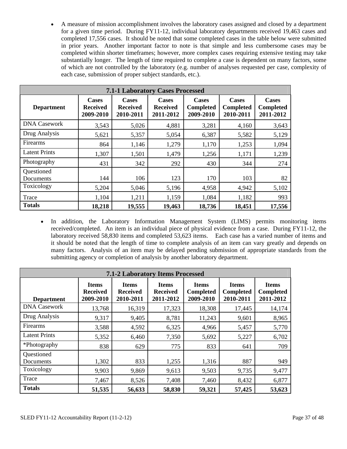A measure of mission accomplishment involves the laboratory cases assigned and closed by a department for a given time period. During FY11-12, individual laboratory departments received 19,463 cases and completed 17,556 cases. It should be noted that some completed cases in the table below were submitted in prior years. Another important factor to note is that simple and less cumbersome cases may be completed within shorter timeframes; however, more complex cases requiring extensive testing may take substantially longer. The length of time required to complete a case is dependent on many factors, some of which are not controlled by the laboratory (e.g. number of analyses requested per case, complexity of each case, submission of proper subject standards, etc.).

| <b>7.1-1 Laboratory Cases Processed</b> |                                              |                                              |                                              |                                               |                                               |                                               |  |  |
|-----------------------------------------|----------------------------------------------|----------------------------------------------|----------------------------------------------|-----------------------------------------------|-----------------------------------------------|-----------------------------------------------|--|--|
| <b>Department</b>                       | <b>Cases</b><br><b>Received</b><br>2009-2010 | <b>Cases</b><br><b>Received</b><br>2010-2011 | <b>Cases</b><br><b>Received</b><br>2011-2012 | <b>Cases</b><br><b>Completed</b><br>2009-2010 | <b>Cases</b><br><b>Completed</b><br>2010-2011 | <b>Cases</b><br><b>Completed</b><br>2011-2012 |  |  |
| <b>DNA Casework</b>                     | 3,543                                        | 5,026                                        | 4,881                                        | 3,281                                         | 4,160                                         | 3,643                                         |  |  |
| Drug Analysis                           | 5,621                                        | 5,357                                        | 5,054                                        | 6,387                                         | 5,582                                         | 5,129                                         |  |  |
| Firearms                                | 864                                          | 1,146                                        | 1,279                                        | 1,170                                         | 1,253                                         | 1,094                                         |  |  |
| <b>Latent Prints</b>                    | 1,307                                        | 1,501                                        | 1,479                                        | 1,256                                         | 1,171                                         | 1,239                                         |  |  |
| Photography                             | 431                                          | 342                                          | 292                                          | 430                                           | 344                                           | 274                                           |  |  |
| Questioned<br>Documents                 | 144                                          | 106                                          | 123                                          | 170                                           | 103                                           | 82                                            |  |  |
| Toxicology                              | 5,204                                        | 5,046                                        | 5,196                                        | 4,958                                         | 4,942                                         | 5,102                                         |  |  |
| Trace                                   | 1,104                                        | 1,211                                        | 1,159                                        | 1,084                                         | 1,182                                         | 993                                           |  |  |
| <b>Totals</b>                           | 18,218                                       | 19,555                                       | 19,463                                       | 18,736                                        | 18,451                                        | 17,556                                        |  |  |

• In addition, the Laboratory Information Management System (LIMS) permits monitoring items received/completed. An item is an individual piece of physical evidence from a case. During FY11-12, the laboratory received 58,830 items and completed 53,623 items. Each case has a varied number of items and it should be noted that the length of time to complete analysis of an item can vary greatly and depends on many factors. Analysis of an item may be delayed pending submission of appropriate standards from the submitting agency or completion of analysis by another laboratory department.

| <b>7.1-2 Laboratory Items Processed</b> |                                              |                                              |                                              |                                               |                                               |                                               |  |  |  |
|-----------------------------------------|----------------------------------------------|----------------------------------------------|----------------------------------------------|-----------------------------------------------|-----------------------------------------------|-----------------------------------------------|--|--|--|
| <b>Department</b>                       | <b>Items</b><br><b>Received</b><br>2009-2010 | <b>Items</b><br><b>Received</b><br>2010-2011 | <b>Items</b><br><b>Received</b><br>2011-2012 | <b>Items</b><br><b>Completed</b><br>2009-2010 | <b>Items</b><br><b>Completed</b><br>2010-2011 | <b>Items</b><br><b>Completed</b><br>2011-2012 |  |  |  |
| <b>DNA Casework</b>                     | 13,768                                       | 16,319                                       | 17,323                                       | 18,308                                        | 17,445                                        | 14,174                                        |  |  |  |
| Drug Analysis                           | 9,317                                        | 9,405                                        | 8,781                                        | 11,243                                        | 9,601                                         | 8,965                                         |  |  |  |
| Firearms                                | 3,588                                        | 4,592                                        | 6,325                                        | 4,966                                         | 5,457                                         | 5,770                                         |  |  |  |
| <b>Latent Prints</b>                    | 5,352                                        | 6,460                                        | 7,350                                        | 5,692                                         | 5,227                                         | 6,702                                         |  |  |  |
| *Photography                            | 838                                          | 629                                          | 775                                          | 833                                           | 641                                           | 709                                           |  |  |  |
| Questioned<br>Documents                 | 1,302                                        | 833                                          | 1,255                                        | 1,316                                         | 887                                           | 949                                           |  |  |  |
| Toxicology                              | 9,903                                        | 9,869                                        | 9,613                                        | 9,503                                         | 9,735                                         | 9,477                                         |  |  |  |
| Trace                                   | 7,467                                        | 8,526                                        | 7,408                                        | 7,460                                         | 8,432                                         | 6,877                                         |  |  |  |
| <b>Totals</b>                           | 51,535                                       | 56,633                                       | 58,830                                       | 59,321                                        | 57,425                                        | 53,623                                        |  |  |  |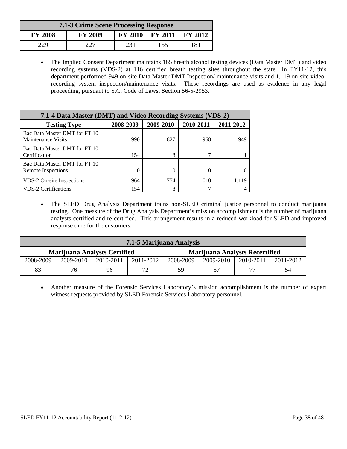| <b>7.1-3 Crime Scene Processing Response</b> |                |     |                                                           |     |  |  |  |  |
|----------------------------------------------|----------------|-----|-----------------------------------------------------------|-----|--|--|--|--|
| <b>FY 2008</b>                               | <b>FY 2009</b> |     | $\text{FY } 2010$   $\text{FY } 2011$   $\text{FY } 2012$ |     |  |  |  |  |
| 229                                          | 227            | 231 | 155                                                       | 181 |  |  |  |  |

 The Implied Consent Department maintains 165 breath alcohol testing devices (Data Master DMT) and video recording systems (VDS-2) at 116 certified breath testing sites throughout the state. In FY11-12, this department performed 949 on-site Data Master DMT Inspection/ maintenance visits and 1,119 on-site videorecording system inspection/maintenance visits. These recordings are used as evidence in any legal proceeding, pursuant to S.C. Code of Laws, Section 56-5-2953.

| 7.1-4 Data Master (DMT) and Video Recording Systems (VDS-2) |           |           |           |           |  |  |  |  |  |
|-------------------------------------------------------------|-----------|-----------|-----------|-----------|--|--|--|--|--|
| <b>Testing Type</b>                                         | 2008-2009 | 2009-2010 | 2010-2011 | 2011-2012 |  |  |  |  |  |
| Bac Data Master DMT for FT 10<br><b>Maintenance Visits</b>  | 990       | 827       | 968       | 949       |  |  |  |  |  |
| Bac Data Master DMT for FT 10<br>Certification              | 154       | 8         |           |           |  |  |  |  |  |
| Bac Data Master DMT for FT 10<br>Remote Inspections         |           | 0         |           |           |  |  |  |  |  |
| VDS-2 On-site Inspections                                   | 964       | 774       | 1,010     |           |  |  |  |  |  |
| <b>VDS-2 Certifications</b>                                 | 154       | 8         |           |           |  |  |  |  |  |

 The SLED Drug Analysis Department trains non-SLED criminal justice personnel to conduct marijuana testing. One measure of the Drug Analysis Department's mission accomplishment is the number of marijuana analysts certified and re-certified. This arrangement results in a reduced workload for SLED and improved response time for the customers.

| 7.1-5 Marijuana Analysis            |           |           |           |           |           |                                       |           |  |
|-------------------------------------|-----------|-----------|-----------|-----------|-----------|---------------------------------------|-----------|--|
| <b>Marijuana Analysts Certified</b> |           |           |           |           |           | <b>Marijuana Analysts Recertified</b> |           |  |
| 2008-2009                           | 2009-2010 | 2010-2011 | 2011-2012 | 2008-2009 | 2009-2010 | 2010-2011                             | 2011-2012 |  |
| 83                                  | 76        | 96        | 72        | 59        |           | $\overline{\phantom{a}}$              | 54        |  |

 Another measure of the Forensic Services Laboratory's mission accomplishment is the number of expert witness requests provided by SLED Forensic Services Laboratory personnel.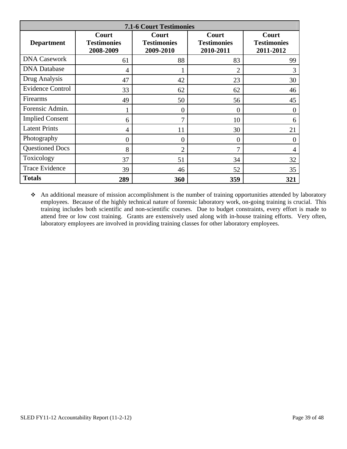| <b>7.1-6 Court Testimonies</b> |                                          |                                          |                                          |                                          |  |  |  |  |
|--------------------------------|------------------------------------------|------------------------------------------|------------------------------------------|------------------------------------------|--|--|--|--|
| <b>Department</b>              | Court<br><b>Testimonies</b><br>2008-2009 | Court<br><b>Testimonies</b><br>2009-2010 | Court<br><b>Testimonies</b><br>2010-2011 | Court<br><b>Testimonies</b><br>2011-2012 |  |  |  |  |
| <b>DNA Casework</b>            | 61                                       | 88                                       | 83                                       | 99                                       |  |  |  |  |
| <b>DNA</b> Database            | $\overline{4}$                           |                                          | $\overline{2}$                           | 3                                        |  |  |  |  |
| Drug Analysis                  | 47                                       | 42                                       | 23                                       | 30                                       |  |  |  |  |
| <b>Evidence Control</b>        | 33                                       | 62                                       | 62                                       | 46                                       |  |  |  |  |
| Firearms                       | 49                                       | 50                                       | 56                                       | 45                                       |  |  |  |  |
| Forensic Admin.                |                                          | 0                                        | $\theta$                                 | $\overline{0}$                           |  |  |  |  |
| <b>Implied Consent</b>         | 6                                        | 7                                        | 10                                       | 6                                        |  |  |  |  |
| <b>Latent Prints</b>           | 4                                        | 11                                       | 30                                       | 21                                       |  |  |  |  |
| Photography                    | $\overline{0}$                           | 0                                        | $\overline{0}$                           | $\overline{0}$                           |  |  |  |  |
| <b>Questioned Docs</b>         | 8                                        | $\overline{2}$                           | $\tau$                                   | 4                                        |  |  |  |  |
| Toxicology                     | 37                                       | 51                                       | 34                                       | 32                                       |  |  |  |  |
| <b>Trace Evidence</b>          | 39                                       | 46                                       | 52                                       | 35                                       |  |  |  |  |
| <b>Totals</b>                  | 289                                      | 360                                      | 359                                      | 321                                      |  |  |  |  |

 An additional measure of mission accomplishment is the number of training opportunities attended by laboratory employees. Because of the highly technical nature of forensic laboratory work, on-going training is crucial. This training includes both scientific and non-scientific courses. Due to budget constraints, every effort is made to attend free or low cost training. Grants are extensively used along with in-house training efforts. Very often, laboratory employees are involved in providing training classes for other laboratory employees.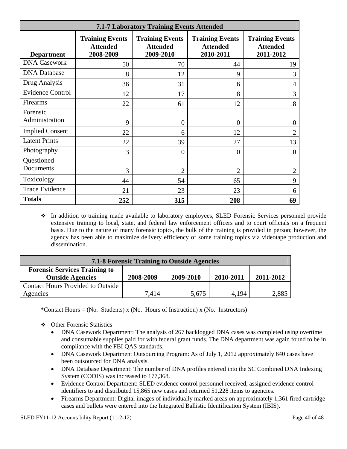| <b>7.1-7 Laboratory Training Events Attended</b> |                                                        |                                                        |                                                        |                                                        |  |  |  |  |
|--------------------------------------------------|--------------------------------------------------------|--------------------------------------------------------|--------------------------------------------------------|--------------------------------------------------------|--|--|--|--|
| <b>Department</b>                                | <b>Training Events</b><br><b>Attended</b><br>2008-2009 | <b>Training Events</b><br><b>Attended</b><br>2009-2010 | <b>Training Events</b><br><b>Attended</b><br>2010-2011 | <b>Training Events</b><br><b>Attended</b><br>2011-2012 |  |  |  |  |
| <b>DNA Casework</b>                              | 50                                                     | 70                                                     | 44                                                     | 19                                                     |  |  |  |  |
| <b>DNA</b> Database                              | 8                                                      | 12                                                     | 9                                                      | 3                                                      |  |  |  |  |
| Drug Analysis                                    | 36                                                     | 31                                                     | 6                                                      | 4                                                      |  |  |  |  |
| <b>Evidence Control</b>                          | 12                                                     | 17                                                     | 8                                                      | 3                                                      |  |  |  |  |
| Firearms                                         | 22                                                     | 61                                                     | 12                                                     | 8                                                      |  |  |  |  |
| Forensic<br>Administration                       | 9                                                      | $\overline{0}$                                         | 0                                                      | $\theta$                                               |  |  |  |  |
| <b>Implied Consent</b>                           | 22                                                     | 6                                                      | 12                                                     | $\overline{2}$                                         |  |  |  |  |
| <b>Latent Prints</b>                             | 22                                                     | 39                                                     | 27                                                     | 13                                                     |  |  |  |  |
| Photography                                      | 3                                                      | $\overline{0}$                                         | $\theta$                                               | $\theta$                                               |  |  |  |  |
| Questioned<br>Documents                          | 3                                                      | 2                                                      | $\overline{2}$                                         | $\overline{2}$                                         |  |  |  |  |
| Toxicology                                       | 44                                                     | 54                                                     | 65                                                     | 9                                                      |  |  |  |  |
| <b>Trace Evidence</b>                            | 21                                                     | 23                                                     | 23                                                     | 6                                                      |  |  |  |  |
| <b>Totals</b>                                    | 252                                                    | 315                                                    | 208                                                    | 69                                                     |  |  |  |  |

 In addition to training made available to laboratory employees, SLED Forensic Services personnel provide extensive training to local, state, and federal law enforcement officers and to court officials on a frequent basis. Due to the nature of many forensic topics, the bulk of the training is provided in person; however, the agency has been able to maximize delivery efficiency of some training topics via videotape production and dissemination.

| <b>7.1-8 Forensic Training to Outside Agencies</b> |           |           |           |           |  |  |  |
|----------------------------------------------------|-----------|-----------|-----------|-----------|--|--|--|
| <b>Forensic Services Training to</b>               |           |           |           |           |  |  |  |
| <b>Outside Agencies</b>                            | 2008-2009 | 2009-2010 | 2010-2011 | 2011-2012 |  |  |  |
| Contact Hours Provided to Outside                  |           |           |           |           |  |  |  |
| Agencies                                           | 7,414     | 5,675     | 4.194     | 2,885     |  |  |  |

\*Contact Hours = (No. Students) x (No. Hours of Instruction) x (No. Instructors)

- Other Forensic Statistics
	- DNA Casework Department: The analysis of 267 backlogged DNA cases was completed using overtime and consumable supplies paid for with federal grant funds. The DNA department was again found to be in compliance with the FBI QAS standards.
	- DNA Casework Department Outsourcing Program: As of July 1, 2012 approximately 640 cases have been outsourced for DNA analysis.
	- DNA Database Department: The number of DNA profiles entered into the SC Combined DNA Indexing System (CODIS) was increased to 177,368.
	- Evidence Control Department: SLED evidence control personnel received, assigned evidence control identifiers to and distributed 15,865 new cases and returned 51,228 items to agencies.
	- Firearms Department: Digital images of individually marked areas on approximately 1,361 fired cartridge cases and bullets were entered into the Integrated Ballistic Identification System (IBIS).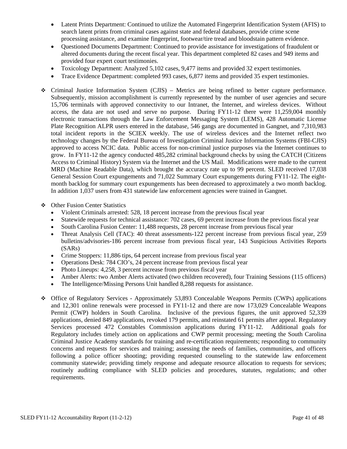- Latent Prints Department: Continued to utilize the Automated Fingerprint Identification System (AFIS) to search latent prints from criminal cases against state and federal databases, provide crime scene processing assistance, and examine fingerprint, footwear/tire tread and bloodstain pattern evidence.
- Questioned Documents Department: Continued to provide assistance for investigations of fraudulent or altered documents during the recent fiscal year. This department completed 82 cases and 949 items and provided four expert court testimonies.
- Toxicology Department: Analyzed 5,102 cases, 9,477 items and provided 32 expert testimonies.
- Trace Evidence Department: completed 993 cases, 6,877 items and provided 35 expert testimonies.
- Criminal Justice Information System (CJIS) Metrics are being refined to better capture performance. Subsequently, mission accomplishment is currently represented by the number of user agencies and secure 15,706 terminals with approved connectivity to our Intranet, the Internet, and wireless devices. Without access, the data are not used and serve no purpose. During FY11-12 there were 11,259,004 monthly electronic transactions through the Law Enforcement Messaging System (LEMS), 428 Automatic License Plate Recognition ALPR users entered in the database, 546 gangs are documented in Gangnet, and 7,310,983 total incident reports in the SCIEX weekly. The use of wireless devices and the Internet reflect two technology changes by the Federal Bureau of Investigation Criminal Justice Information Systems (FBI-CJIS) approved to access NCIC data. Public access for non-criminal justice purposes via the Internet continues to grow. In FY11-12 the agency conducted 485,282 criminal background checks by using the CATCH (Citizens Access to Criminal History) System via the Internet and the US Mail. Modifications were made to the current MRD (Machine Readable Data), which brought the accuracy rate up to 99 percent. SLED received 17,038 General Session Court expungements and 71,022 Summary Court expungements during FY11-12. The eightmonth backlog for summary court expungements has been decreased to approximately a two month backlog. In addition 1,037 users from 431 statewide law enforcement agencies were trained in Gangnet.
- ❖ Other Fusion Center Statistics
	- Violent Criminals arrested: 528, 18 percent increase from the previous fiscal year
	- Statewide requests for technical assistance: 702 cases, 69 percent increase from the previous fiscal year
	- South Carolina Fusion Center: 11,488 requests, 28 percent increase from previous fiscal year
	- Threat Analysis Cell (TAC): 40 threat assessments-122 percent increase from previous fiscal year, 259 bulletins/advisories-186 percent increase from previous fiscal year, 143 Suspicious Activities Reports (SARs)
	- Crime Stoppers: 11,886 tips, 64 percent increase from previous fiscal year
	- Operations Desk: 784 CIO's, 24 percent increase from previous fiscal year
	- Photo Lineups: 4,258, 3 percent increase from previous fiscal year
	- Amber Alerts: two Amber Alerts activated (two children recovered), four Training Sessions (115 officers)
	- The Intelligence/Missing Persons Unit handled 8,288 requests for assistance.
- Office of Regulatory Services Approximately 53,893 Concealable Weapons Permits (CWPs) applications and 12,301 online renewals were processed in FY11-12 and there are now 173,029 Concealable Weapons Permit (CWP) holders in South Carolina. Inclusive of the previous figures, the unit approved 52,339 applications, denied 849 applications, revoked 179 permits, and reinstated 61 permits after appeal. Regulatory Services processed 472 Constables Commission applications during FY11-12. Additional goals for Regulatory includes timely action on applications and CWP permit processing; meeting the South Carolina Criminal Justice Academy standards for training and re-certification requirements; responding to community concerns and requests for services and training; assessing the needs of families, communities, and officers following a police officer shooting; providing requested counseling to the statewide law enforcement community statewide; providing timely response and adequate resource allocation to requests for services; routinely auditing compliance with SLED policies and procedures, statutes, regulations; and other requirements.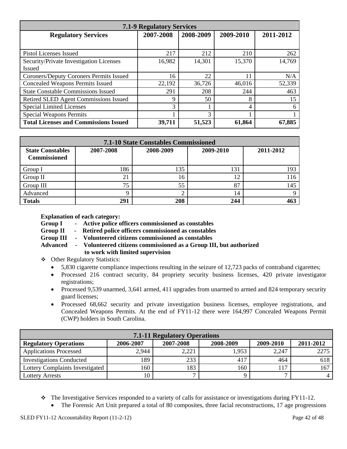| <b>7.1-9 Regulatory Services</b>             |           |           |        |        |  |  |  |  |
|----------------------------------------------|-----------|-----------|--------|--------|--|--|--|--|
| <b>Regulatory Services</b>                   | 2009-2010 | 2011-2012 |        |        |  |  |  |  |
|                                              |           |           |        |        |  |  |  |  |
| Pistol Licenses Issued                       | 217       | 212       | 210    | 262    |  |  |  |  |
| Security/Private Investigation Licenses      | 16,982    | 14,301    | 15,370 | 14,769 |  |  |  |  |
| <b>Issued</b>                                |           |           |        |        |  |  |  |  |
| Coroners/Deputy Coroners Permits Issued      | 16        | 22        | 11     | N/A    |  |  |  |  |
| <b>Concealed Weapons Permits Issued</b>      | 22,192    | 36,726    | 46,016 | 52,339 |  |  |  |  |
| <b>State Constable Commissions Issued</b>    | 291       | 208       | 244    | 463    |  |  |  |  |
| Retired SLED Agent Commissions Issued        | q         | 50        | 8      | 15     |  |  |  |  |
| <b>Special Limited Licenses</b>              | 3         |           | 4      | 6      |  |  |  |  |
| <b>Special Weapons Permits</b>               |           | 3         |        |        |  |  |  |  |
| <b>Total Licenses and Commissions Issued</b> | 39,711    | 51,523    | 61,864 | 67,885 |  |  |  |  |

| <b>7.1-10 State Constables Commissioned</b>    |           |           |           |           |  |  |  |  |
|------------------------------------------------|-----------|-----------|-----------|-----------|--|--|--|--|
| <b>State Constables</b><br><b>Commissioned</b> | 2007-2008 | 2008-2009 | 2009-2010 | 2011-2012 |  |  |  |  |
| Group I                                        | 186       | 135       | 131       | 193       |  |  |  |  |
| Group II                                       | 21        | 16        | 12        | 116       |  |  |  |  |
| Group III                                      | 75        | 55        | 87        | 145       |  |  |  |  |
| Advanced                                       |           |           | 14        | Q         |  |  |  |  |
| <b>Totals</b>                                  | 291       | 208       | 244       | 463       |  |  |  |  |

 **Explanation of each category:** 

- **Group I Active police officers commissioned as constables**
- **Group II Retired police officers commissioned as constables**
- **Group III Volunteered citizens commissioned as constables**
- **Advanced Volunteered citizens commissioned as a Group III, but authorized to work with limited supervision**
- Other Regulatory Statistics:
	- 5,830 cigarette compliance inspections resulting in the seizure of 12,723 packs of contraband cigarettes;
	- Processed 216 contract security, 84 propriety security business licenses, 420 private investigator registrations;
	- Processed 9,539 unarmed, 3,641 armed, 411 upgrades from unarmed to armed and 824 temporary security guard licenses;
	- Processed 68,662 security and private investigation business licenses, employee registrations, and Concealed Weapons Permits. At the end of FY11-12 there were 164,997 Concealed Weapons Permit (CWP) holders in South Carolina.

| <b>7.1-11 Regulatory Operations</b>                                                           |       |       |       |       |      |  |  |  |
|-----------------------------------------------------------------------------------------------|-------|-------|-------|-------|------|--|--|--|
| 2007-2008<br>2006-2007<br>2008-2009<br>2009-2010<br>2011-2012<br><b>Regulatory Operations</b> |       |       |       |       |      |  |  |  |
| <b>Applications Processed</b>                                                                 | 2,944 | 2,221 | 1,953 | 2,247 | 2275 |  |  |  |
| <b>Investigations Conducted</b>                                                               | 189   | 233   | 417   | 464   | 618  |  |  |  |
| Lottery Complaints Investigated                                                               | 160   | 183   | 160   |       | 167  |  |  |  |
| Lottery Arrests                                                                               | 10    |       |       |       |      |  |  |  |

- $\bullet$  The Investigative Services responded to a variety of calls for assistance or investigations during FY11-12.
	- The Forensic Art Unit prepared a total of 80 composites, three facial reconstructions, 17 age progressions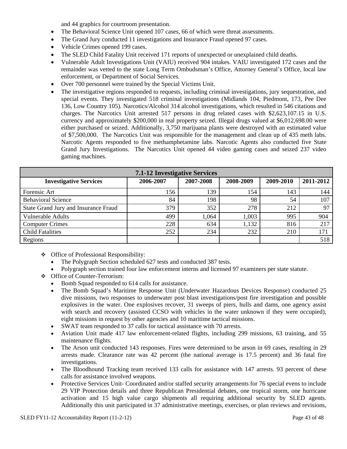and 44 graphics for courtroom presentation.

- The Behavioral Science Unit opened 107 cases, 66 of which were threat assessments.
- The Grand Jury conducted 11 investigations and Insurance Fraud opened 97 cases.
- Vehicle Crimes opened 199 cases.
- The SLED Child Fatality Unit received 171 reports of unexpected or unexplained child deaths.
- Vulnerable Adult Investigations Unit (VAIU) received 904 intakes. VAIU investigated 172 cases and the remainder was vetted to the state Long Term Ombudsman's Office, Attorney General's Office, local law enforcement, or Department of Social Services.
- Over 700 personnel were trained by the Special Victims Unit.
- The investigative regions responded to requests, including criminal investigations, jury sequestration, and special events. They investigated 518 criminal investigations (Midlands 104, Piedmont, 173, Pee Dee 136, Low Country 105). Narcotics/Alcohol 314 alcohol investigations, which resulted in 546 citations and charges. The Narcotics Unit arrested 517 persons in drug related cases with \$2,623,107.15 in U.S. currency and approximately \$200,000 in real property seized. Illegal drugs valued at \$6,012,698.00 were either purchased or seized. Additionally, 3,750 marijuana plants were destroyed with an estimated value of \$7,500,000. The Narcotics Unit was responsible for the management and clean up of 435 meth labs. Narcotic Agents responded to five methamphetamine labs. Narcotic Agents also conducted five State Grand Jury Investigations. The Narcotics Unit opened 44 video gaming cases and seized 237 video gaming machines.

| <b>7.1-12 Investigative Services</b> |           |           |           |           |           |  |  |  |  |
|--------------------------------------|-----------|-----------|-----------|-----------|-----------|--|--|--|--|
| <b>Investigative Services</b>        | 2006-2007 | 2007-2008 | 2008-2009 | 2009-2010 | 2011-2012 |  |  |  |  |
| Forensic Art                         | 156       | 139       | 154       | 143       | 144       |  |  |  |  |
| <b>Behavioral Science</b>            | 84        | 198       | 98        | 54        | 107       |  |  |  |  |
| State Grand Jury and Insurance Fraud | 379       | 352       | 278       | 212       | 97        |  |  |  |  |
| <b>Vulnerable Adults</b>             | 499       | 1,064     | 1,003     | 995       | 904       |  |  |  |  |
| <b>Computer Crimes</b>               | 228       | 634       | 1,132     | 816       | 217       |  |  |  |  |
| <b>Child Fatalities</b>              | 252       | 234       | 232       | 210       | 171       |  |  |  |  |
| Regions                              |           |           |           |           | 518       |  |  |  |  |

- Office of Professional Responsibility:
	- The Polygraph Section scheduled 627 tests and conducted 387 tests.
	- Polygraph section trained four law enforcement interns and licensed 97 examiners per state statute.
- Office of Counter-Terrorism:
	- Bomb Squad responded to 614 calls for assistance.
	- The Bomb Squad's Maritime Response Unit (Underwater Hazardous Devices Response) conducted 25 dive missions, two responses to underwater post blast investigations/post fire investigation and possible explosives in the water. One explosives recover, 31 sweeps of piers, hulls and dams, one agency assist with search and recovery (assisted CCSO with vehicles in the water unknown if they were occupied), eight missions in request by other agencies and 10 maritime tactical missions.
	- SWAT team responded to 37 calls for tactical assistance with 70 arrests.
	- Aviation Unit made 417 law enforcement-related flights, including 299 missions, 63 training, and 55 maintenance flights.
	- The Arson unit conducted 143 responses. Fires were determined to be arson in 69 cases, resulting in 29 arrests made. Clearance rate was 42 percent (the national average is 17.5 percent) and 36 fatal fire investigations.
	- The Bloodhound Tracking team received 133 calls for assistance with 147 arrests. 93 percent of these calls for assistance involved weapons.
	- Protective Services Unit- Coordinated and/or staffed security arrangements for 76 special evens to include 29 VIP Protection details and three Republican Presidential debates, one tropical storm, one hurricane activation and 15 high value cargo shipments all requiring additional security by SLED agents. Additionally this unit participated in 37 administrative meetings, exercises, or plan reviews and revisions,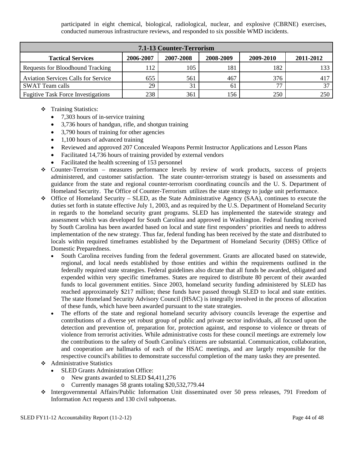participated in eight chemical, biological, radiological, nuclear, and explosive (CBRNE) exercises, conducted numerous infrastructure reviews, and responded to six possible WMD incidents.

| <b>7.1-13 Counter-Terrorism</b>                                                           |     |     |     |     |     |  |  |  |  |
|-------------------------------------------------------------------------------------------|-----|-----|-----|-----|-----|--|--|--|--|
| 2006-2007<br>2011-2012<br><b>Tactical Services</b><br>2007-2008<br>2008-2009<br>2009-2010 |     |     |     |     |     |  |  |  |  |
| Requests for Bloodhound Tracking                                                          | 112 | 105 | 181 | 182 | 133 |  |  |  |  |
| <b>Aviation Services Calls for Service</b>                                                | 655 | 561 | 467 | 376 | 417 |  |  |  |  |
| <b>SWAT Team calls</b>                                                                    | 29  |     | 61  | חח  |     |  |  |  |  |
| <b>Fugitive Task Force Investigations</b>                                                 | 238 | 361 | 156 | 250 | 250 |  |  |  |  |

- Training Statistics:
	- 7,303 hours of in-service training
	- 3,736 hours of handgun, rifle, and shotgun training
	- 3,790 hours of training for other agencies
	- 1,100 hours of advanced training
	- Reviewed and approved 207 Concealed Weapons Permit Instructor Applications and Lesson Plans
	- Facilitated 14,736 hours of training provided by external vendors
	- Facilitated the health screening of 153 personnel
- Counter-Terrorism measures performance levels by review of work products, success of projects administered, and customer satisfaction. The state counter-terrorism strategy is based on assessments and guidance from the state and regional counter-terrorism coordinating councils and the U. S. Department of Homeland Security. The Office of Counter-Terrorism utilizes the state strategy to judge unit performance.
- $\div$  Office of Homeland Security SLED, as the State Administrative Agency (SAA), continues to execute the duties set forth in statute effective July 1, 2003, and as required by the U.S. Department of Homeland Security in regards to the homeland security grant programs. SLED has implemented the statewide strategy and assessment which was developed for South Carolina and approved in Washington. Federal funding received by South Carolina has been awarded based on local and state first responders' priorities and needs to address implementation of the new strategy. Thus far, federal funding has been received by the state and distributed to locals within required timeframes established by the Department of Homeland Security (DHS) Office of Domestic Preparedness.
	- South Carolina receives funding from the federal government. Grants are allocated based on statewide, regional, and local needs established by those entities and within the requirements outlined in the federally required state strategies. Federal guidelines also dictate that all funds be awarded, obligated and expended within very specific timeframes. States are required to distribute 80 percent of their awarded funds to local government entities. Since 2003, homeland security funding administered by SLED has reached approximately \$217 million; these funds have passed through SLED to local and state entities. The state Homeland Security Advisory Council (HSAC) is integrally involved in the process of allocation of these funds, which have been awarded pursuant to the state strategies.
	- The efforts of the state and regional homeland security advisory councils leverage the expertise and contributions of a diverse yet robust group of public and private sector individuals, all focused upon the detection and prevention of, preparation for, protection against, and response to violence or threats of violence from terrorist activities. While administrative costs for these council meetings are extremely low the contributions to the safety of South Carolina's citizens are substantial. Communication, collaboration, and cooperation are hallmarks of each of the HSAC meetings, and are largely responsible for the respective council's abilities to demonstrate successful completion of the many tasks they are presented.
- Administrative Statistics
	- SLED Grants Administration Office:
		- o New grants awarded to SLED \$4,411,276
		- o Currently manages 58 grants totaling \$20,532,779.44
- Intergovernmental Affairs/Public Information Unit disseminated over 50 press releases, 791 Freedom of Information Act requests and 130 civil subpoenas.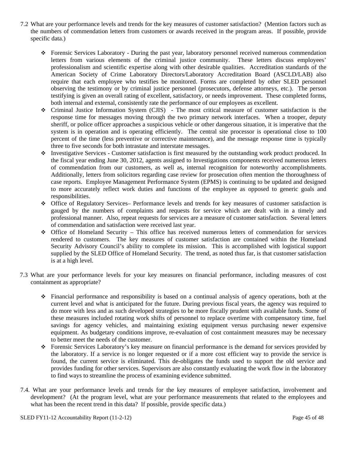- 7.2 What are your performance levels and trends for the key measures of customer satisfaction? (Mention factors such as the numbers of commendation letters from customers or awards received in the program areas. If possible, provide specific data.)
	- Forensic Services Laboratory During the past year, laboratory personnel received numerous commendation letters from various elements of the criminal justice community. These letters discuss employees' professionalism and scientific expertise along with other desirable qualities. Accreditation standards of the American Society of Crime Laboratory Directors/Laboratory Accreditation Board (ASCLD/LAB) also require that each employee who testifies be monitored. Forms are completed by other SLED personnel observing the testimony or by criminal justice personnel (prosecutors, defense attorneys, etc.). The person testifying is given an overall rating of excellent, satisfactory, or needs improvement. These completed forms, both internal and external, consistently rate the performance of our employees as excellent.
	- Criminal Justice Information System (CJIS) The most critical measure of customer satisfaction is the response time for messages moving through the two primary network interfaces. When a trooper, deputy sheriff, or police officer approaches a suspicious vehicle or other dangerous situation, it is imperative that the system is in operation and is operating efficiently. The central site processor is operational close to 100 percent of the time (less preventive or corrective maintenance), and the message response time is typically three to five seconds for both intrastate and interstate messages.
	- Investigative Services Customer satisfaction is first measured by the outstanding work product produced. In the fiscal year ending June 30, 2012, agents assigned to Investigations components received numerous letters of commendation from our customers, as well as, internal recognition for noteworthy accomplishments. Additionally, letters from solicitors regarding case review for prosecution often mention the thoroughness of case reports. Employee Management Performance System (EPMS) is continuing to be updated and designed to more accurately reflect work duties and functions of the employee as opposed to generic goals and responsibilities.
	- Office of Regulatory Services– Performance levels and trends for key measures of customer satisfaction is gauged by the numbers of complaints and requests for service which are dealt with in a timely and professional manner. Also, repeat requests for services are a measure of customer satisfaction. Several letters of commendation and satisfaction were received last year.
	- $\div$  Office of Homeland Security This office has received numerous letters of commendation for services rendered to customers. The key measures of customer satisfaction are contained within the Homeland Security Advisory Council's ability to complete its mission. This is accomplished with logistical support supplied by the SLED Office of Homeland Security. The trend, as noted thus far, is that customer satisfaction is at a high level.
- 7.3 What are your performance levels for your key measures on financial performance, including measures of cost containment as appropriate?
	- Financial performance and responsibility is based on a continual analysis of agency operations, both at the current level and what is anticipated for the future. During previous fiscal years, the agency was required to do more with less and as such developed strategies to be more fiscally prudent with available funds. Some of these measures included rotating work shifts of personnel to replace overtime with compensatory time, fuel savings for agency vehicles, and maintaining existing equipment versus purchasing newer expensive equipment. As budgetary conditions improve, re-evaluation of cost containment measures may be necessary to better meet the needs of the customer.
	- Forensic Services Laboratory's key measure on financial performance is the demand for services provided by the laboratory. If a service is no longer requested or if a more cost efficient way to provide the service is found, the current service is eliminated. This de-obligates the funds used to support the old service and provides funding for other services. Supervisors are also constantly evaluating the work flow in the laboratory to find ways to streamline the process of examining evidence submitted.
- 7.4. What are your performance levels and trends for the key measures of employee satisfaction, involvement and development? (At the program level, what are your performance measurements that related to the employees and what has been the recent trend in this data? If possible, provide specific data.)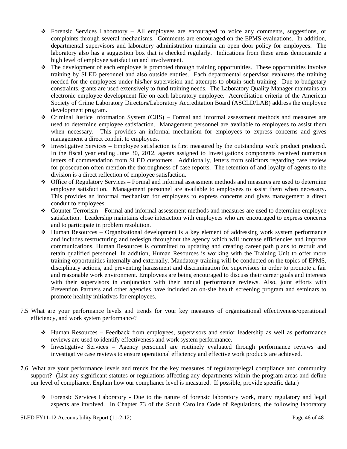- Forensic Services Laboratory All employees are encouraged to voice any comments, suggestions, or complaints through several mechanisms. Comments are encouraged on the EPMS evaluations. In addition, departmental supervisors and laboratory administration maintain an open door policy for employees. The laboratory also has a suggestion box that is checked regularly. Indications from these areas demonstrate a high level of employee satisfaction and involvement.
- The development of each employee is promoted through training opportunities. These opportunities involve training by SLED personnel and also outside entities. Each departmental supervisor evaluates the training needed for the employees under his/her supervision and attempts to obtain such training. Due to budgetary constraints, grants are used extensively to fund training needs. The Laboratory Quality Manager maintains an electronic employee development file on each laboratory employee. Accreditation criteria of the American Society of Crime Laboratory Directors/Laboratory Accreditation Board (ASCLD/LAB) address the employee development program.
- $\div$  Criminal Justice Information System (CJIS) Formal and informal assessment methods and measures are used to determine employee satisfaction. Management personnel are available to employees to assist them when necessary. This provides an informal mechanism for employees to express concerns and gives management a direct conduit to employees.
- $\bullet$  Investigative Services Employee satisfaction is first measured by the outstanding work product produced. In the fiscal year ending June 30, 2012, agents assigned to Investigations components received numerous letters of commendation from SLED customers. Additionally, letters from solicitors regarding case review for prosecution often mention the thoroughness of case reports. The retention of and loyalty of agents to the division is a direct reflection of employee satisfaction.
- Office of Regulatory Services Formal and informal assessment methods and measures are used to determine employee satisfaction. Management personnel are available to employees to assist them when necessary. This provides an informal mechanism for employees to express concerns and gives management a direct conduit to employees.
- $\bullet$  Counter-Terrorism Formal and informal assessment methods and measures are used to determine employee satisfaction. Leadership maintains close interaction with employees who are encouraged to express concerns and to participate in problem resolution.
- $\triangle$  Human Resources Organizational development is a key element of addressing work system performance and includes restructuring and redesign throughout the agency which will increase efficiencies and improve communications. Human Resources is committed to updating and creating career path plans to recruit and retain qualified personnel. In addition, Human Resources is working with the Training Unit to offer more training opportunities internally and externally. Mandatory training will be conducted on the topics of EPMS, disciplinary actions, and preventing harassment and discrimination for supervisors in order to promote a fair and reasonable work environment. Employees are being encouraged to discuss their career goals and interests with their supervisors in conjunction with their annual performance reviews. Also, joint efforts with Prevention Partners and other agencies have included an on-site health screening program and seminars to promote healthy initiatives for employees.
- 7.5 What are your performance levels and trends for your key measures of organizational effectiveness/operational efficiency, and work system performance?
	- $\div$  Human Resources Feedback from employees, supervisors and senior leadership as well as performance reviews are used to identify effectiveness and work system performance.
	- Investigative Services Agency personnel are routinely evaluated through performance reviews and investigative case reviews to ensure operational efficiency and effective work products are achieved.
- 7.6. What are your performance levels and trends for the key measures of regulatory/legal compliance and community support? (List any significant statutes or regulations affecting any departments within the program areas and define our level of compliance. Explain how our compliance level is measured. If possible, provide specific data.)
	- Forensic Services Laboratory Due to the nature of forensic laboratory work, many regulatory and legal aspects are involved. In Chapter 73 of the South Carolina Code of Regulations, the following laboratory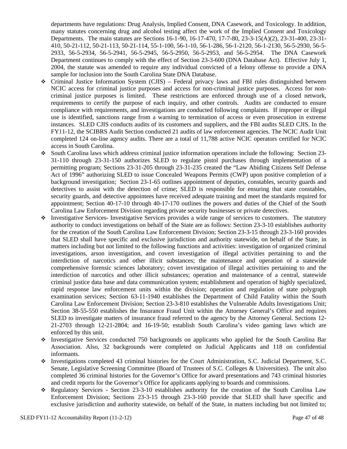departments have regulations: Drug Analysis, Implied Consent, DNA Casework, and Toxicology. In addition, many statutes concerning drug and alcohol testing affect the work of the Implied Consent and Toxicology Departments. The main statutes are Sections 16-1-90, 16-17-470, 17-7-80, 23-3-15(A)(2), 23-31-400, 23-31- 410, 50-21-112, 50-21-113, 50-21-114, 55-1-100, 56-1-10, 56-1-286, 56-1-2120, 56-1-2130, 56-5-2930, 56-5- 2933, 56-5-2934, 56-5-2941, 56-5-2945, 56-5-2950, 56-5-2953, and 56-5-2954. The DNA Casework Department continues to comply with the effect of Section 23-3-600 (DNA Database Act). Effective July 1, 2004, the statute was amended to require any individual convicted of a felony offense to provide a DNA sample for inclusion into the South Carolina State DNA Database.

- $\div$  Criminal Justice Information System (CJIS) Federal privacy laws and FBI rules distinguished between NCIC access for criminal justice purposes and access for non-criminal justice purposes. Access for noncriminal justice purposes is limited. These restrictions are enforced through use of a closed network, requirements to certify the purpose of each inquiry, and other controls. Audits are conducted to ensure compliance with requirements, and investigations are conducted following complaints. If improper or illegal use is identified, sanctions range from a warning to termination of access or even prosecution in extreme instances. SLED CJIS conducts audits of its customers and suppliers, and the FBI audits SLED CJIS. In the FY11-12, the SCIBRS Audit Section conducted 21 audits of law enforcement agencies. The NCIC Audit Unit completed 124 on-line agency audits. There are a total of 11,788 active NCIC operators certified for NCIC access in South Carolina.
- South Carolina laws which address criminal justice information operations include the following: Section 23- 31-110 through 23-31-150 authorizes SLED to regulate pistol purchases through implementation of a permitting program; Sections 23-31-205 through 23-31-235 created the "Law Abiding Citizens Self Defense Act of 1996" authorizing SLED to issue Concealed Weapons Permits (CWP) upon positive completion of a background investigation; Section 23-1-65 outlines appointment of deputies, constables, security guards and detectives to assist with the detection of crime; SLED is responsible for ensuring that state constables, security guards, and detective appointees have received adequate training and meet the standards required for appointment; Section 40-17-10 through 40-17-170 outlines the powers and duties of the Chief of the South Carolina Law Enforcement Division regarding private security businesses or private detectives.
- Investigative Services- Investigative Services provides a wide range of services to customers. The statutory authority to conduct investigations on behalf of the State are as follows: Section 23-3-10 establishes authority for the creation of the South Carolina Law Enforcement Division; Section 23-3-15 through 23-3-160 provides that SLED shall have specific and exclusive jurisdiction and authority statewide, on behalf of the State, in matters including but not limited to the following functions and activities: investigation of organized criminal investigations, arson investigation, and covert investigation of illegal activities pertaining to and the interdiction of narcotics and other illicit substances; the maintenance and operation of a statewide comprehensive forensic sciences laboratory; covert investigation of illegal activities pertaining to and the interdiction of narcotics and other illicit substances; operation and maintenance of a central, statewide criminal justice data base and data communication system; establishment and operation of highly specialized, rapid response law enforcement units within the division; operation and regulation of state polygraph examination services; Section 63-11-1940 establishes the Department of Child Fatality within the South Carolina Law Enforcement Division; Section 23-3-810 establishes the Vulnerable Adults Investigations Unit; Section 38-55-550 establishes the Insurance Fraud Unit within the Attorney General's Office and requires SLED to investigate matters of insurance fraud referred to the agency by the Attorney General. Sections 12- 21-2703 through 12-21-2804; and 16-19-50; establish South Carolina's video gaming laws which are enforced by this unit.
- Investigative Services conducted 750 backgrounds on applicants who applied for the South Carolina Bar Association. Also, 32 backgrounds were completed on Judicial Applicants and 118 on confidential informants.
- Investigations completed 43 criminal histories for the Court Administration, S.C. Judicial Department, S.C. Senate, Legislative Screening Committee (Board of Trustees of S.C. Colleges & Universities). The unit also completed 36 criminal histories for the Governor's Office for award presentations and 743 criminal histories and credit reports for the Governor's Office for applicants applying to boards and commissions.
- Regulatory Services Section 23-3-10 establishes authority for the creation of the South Carolina Law Enforcement Division; Sections 23-3-15 through 23-3-160 provide that SLED shall have specific and exclusive jurisdiction and authority statewide, on behalf of the State, in matters including but not limited to;